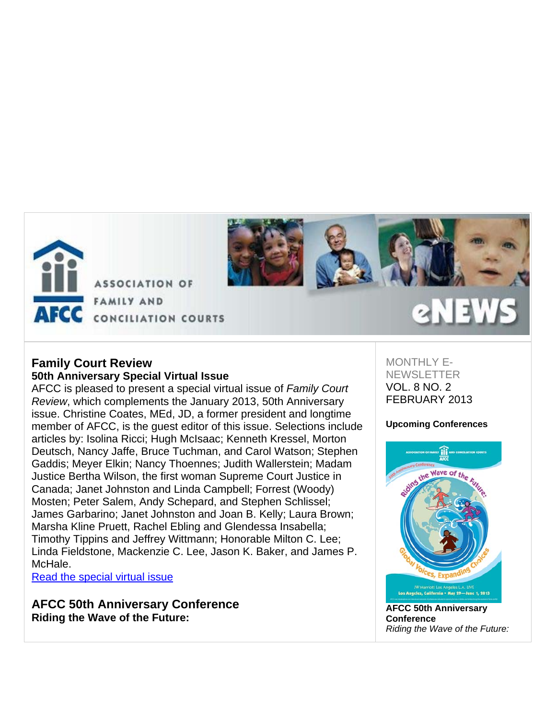

**ASSOCIATION OF FAMILY AND** AFCC CONCILIATION COURTS



## **Family Court Review 50th Anniversary Special Virtual Issue**

AFCC is pleased to present a special virtual issue of *Family Court Review*, which complements the January 2013, 50th Anniversary issue. Christine Coates, MEd, JD, a former president and longtime member of AFCC, is the guest editor of this issue. Selections include articles by: Isolina Ricci; Hugh McIsaac; Kenneth Kressel, Morton Deutsch, Nancy Jaffe, Bruce Tuchman, and Carol Watson; Stephen Gaddis; Meyer Elkin; Nancy Thoennes; Judith Wallerstein; Madam Justice Bertha Wilson, the first woman Supreme Court Justice in Canada; Janet Johnston and Linda Campbell; Forrest (Woody) Mosten; Peter Salem, Andy Schepard, and Stephen Schlissel; James Garbarino; Janet Johnston and Joan B. Kelly; Laura Brown; Marsha Kline Pruett, Rachel Ebling and Glendessa Insabella; Timothy Tippins and Jeffrey Wittmann; Honorable Milton C. Lee; Linda Fieldstone, Mackenzie C. Lee, Jason K. Baker, and James P. McHale.

Read the special virtual issue

**AFCC 50th Anniversary Conference Riding the Wave of the Future:**

## MONTHI Y F-**NEWSLETTER** VOL. 8 NO. 2 FEBRUARY 2013

## **Upcoming Conferences**



**AFCC 50th Anniversary Conference** *Riding the Wave of the Future:*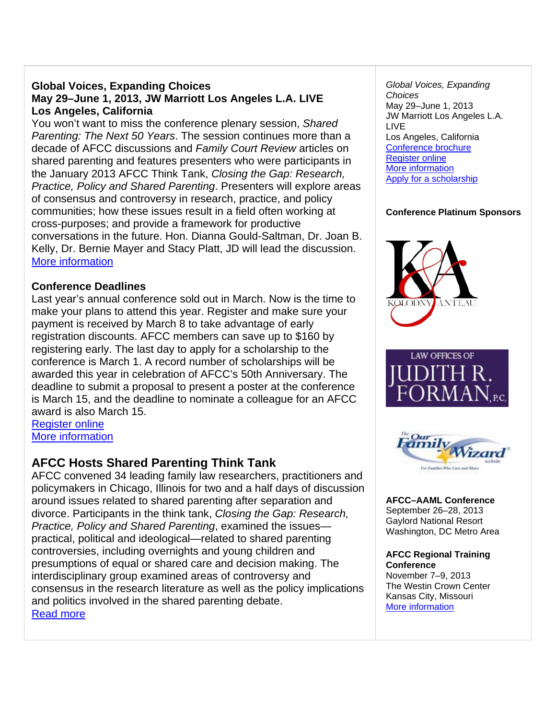## **Global Voices, Expanding Choices May 29–June 1, 2013, JW Marriott Los Angeles L.A. LIVE Los Angeles, California**

You won't want to miss the conference plenary session, *Shared Parenting: The Next 50 Years*. The session continues more than a decade of AFCC discussions and *Family Court Review* articles on shared parenting and features presenters who were participants in the January 2013 AFCC Think Tank, *Closing the Gap: Research, Practice, Policy and Shared Parenting*. Presenters will explore areas of consensus and controversy in research, practice, and policy communities; how these issues result in a field often working at cross-purposes; and provide a framework for productive conversations in the future. Hon. Dianna Gould-Saltman, Dr. Joan B. Kelly, Dr. Bernie Mayer and Stacy Platt, JD will lead the discussion. More information

## **Conference Deadlines**

Last year's annual conference sold out in March. Now is the time to make your plans to attend this year. Register and make sure your payment is received by March 8 to take advantage of early registration discounts. AFCC members can save up to \$160 by registering early. The last day to apply for a scholarship to the conference is March 1. A record number of scholarships will be awarded this year in celebration of AFCC's 50th Anniversary. The deadline to submit a proposal to present a poster at the conference is March 15, and the deadline to nominate a colleague for an AFCC award is also March 15.

Register online More information

## **AFCC Hosts Shared Parenting Think Tank**

AFCC convened 34 leading family law researchers, practitioners and policymakers in Chicago, Illinois for two and a half days of discussion around issues related to shared parenting after separation and divorce. Participants in the think tank, *Closing the Gap: Research, Practice, Policy and Shared Parenting*, examined the issues practical, political and ideological—related to shared parenting controversies, including overnights and young children and presumptions of equal or shared care and decision making. The interdisciplinary group examined areas of controversy and consensus in the research literature as well as the policy implications and politics involved in the shared parenting debate. Read more

*Global Voices, Expanding Choices* May 29–June 1, 2013 JW Marriott Los Angeles L.A. LIVE Los Angeles, California Conference brochure Register online More information Apply for a scholarship

## **Conference Platinum Sponsors**







**AFCC–AAML Conference** September 26–28, 2013 Gaylord National Resort Washington, DC Metro Area

**AFCC Regional Training Conference** November 7–9, 2013 The Westin Crown Center Kansas City, Missouri More information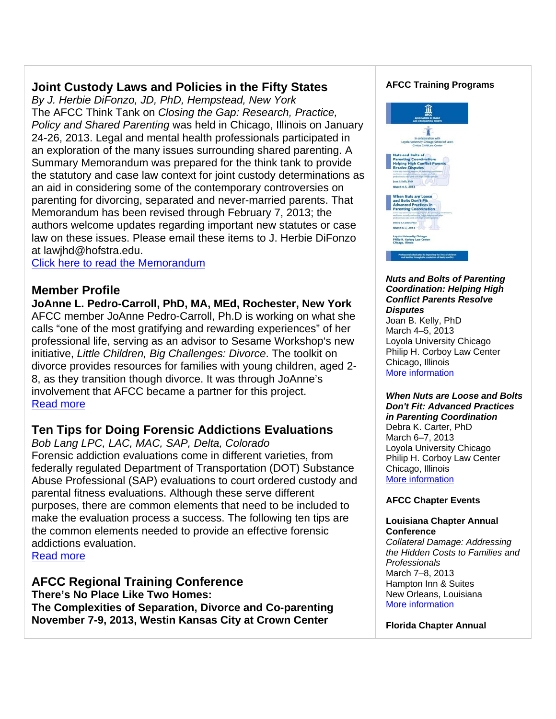## **Joint Custody Laws and Policies in the Fifty States**

*By J. Herbie DiFonzo, JD, PhD, Hempstead, New York* The AFCC Think Tank on *Closing the Gap: Research, Practice, Policy and Shared Parenting* was held in Chicago, Illinois on January 24-26, 2013. Legal and mental health professionals participated in an exploration of the many issues surrounding shared parenting. A Summary Memorandum was prepared for the think tank to provide the statutory and case law context for joint custody determinations as an aid in considering some of the contemporary controversies on parenting for divorcing, separated and never-married parents. That Memorandum has been revised through February 7, 2013; the authors welcome updates regarding important new statutes or case law on these issues. Please email these items to J. Herbie DiFonzo at lawjhd@hofstra.edu.

Click here to read the Memorandum

## **Member Profile**

**JoAnne L. Pedro-Carroll, PhD, MA, MEd, Rochester, New York** AFCC member JoAnne Pedro-Carroll, Ph.D is working on what she calls "one of the most gratifying and rewarding experiences" of her professional life, serving as an advisor to Sesame Workshop's new initiative, *Little Children, Big Challenges: Divorce*. The toolkit on divorce provides resources for families with young children, aged 2- 8, as they transition though divorce. It was through JoAnne's involvement that AFCC became a partner for this project. Read more

## **Ten Tips for Doing Forensic Addictions Evaluations**

*Bob Lang LPC, LAC, MAC, SAP, Delta, Colorado* Forensic addiction evaluations come in different varieties, from federally regulated Department of Transportation (DOT) Substance Abuse Professional (SAP) evaluations to court ordered custody and parental fitness evaluations. Although these serve different purposes, there are common elements that need to be included to make the evaluation process a success. The following ten tips are the common elements needed to provide an effective forensic addictions evaluation.

Read more

**AFCC Regional Training Conference There's No Place Like Two Homes: The Complexities of Separation, Divorce and Co-parenting November 7-9, 2013, Westin Kansas City at Crown Center**

### **AFCC Training Programs**



#### *Nuts and Bolts of Parenting Coordination: Helping High Conflict Parents Resolve Disputes*

Joan B. Kelly, PhD March 4–5, 2013 Loyola University Chicago Philip H. Corboy Law Center Chicago, Illinois More information

#### *When Nuts are Loose and Bolts Don't Fit: Advanced Practices in Parenting Coordination*

Debra K. Carter, PhD March 6–7, 2013 Loyola University Chicago Philip H. Corboy Law Center Chicago, Illinois More information

### **AFCC Chapter Events**

#### **Louisiana Chapter Annual Conference**

*Collateral Damage: Addressing the Hidden Costs to Families and Professionals*  March 7–8, 2013 Hampton Inn & Suites New Orleans, Louisiana More information

**Florida Chapter Annual**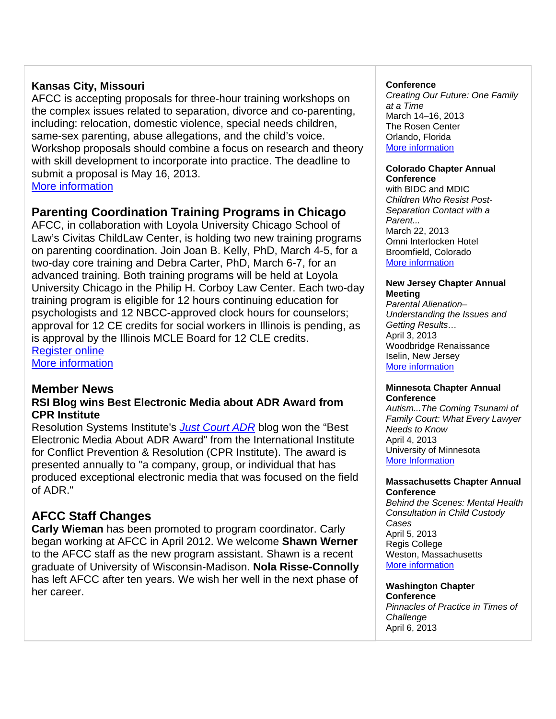## **Kansas City, Missouri**

AFCC is accepting proposals for three-hour training workshops on the complex issues related to separation, divorce and co-parenting, including: relocation, domestic violence, special needs children, same-sex parenting, abuse allegations, and the child's voice. Workshop proposals should combine a focus on research and theory with skill development to incorporate into practice. The deadline to submit a proposal is May 16, 2013. More information

## **Parenting Coordination Training Programs in Chicago**

AFCC, in collaboration with Loyola University Chicago School of Law's Civitas ChildLaw Center, is holding two new training programs on parenting coordination. Join Joan B. Kelly, PhD, March 4-5, for a two-day core training and Debra Carter, PhD, March 6-7, for an advanced training. Both training programs will be held at Loyola University Chicago in the Philip H. Corboy Law Center. Each two-day training program is eligible for 12 hours continuing education for psychologists and 12 NBCC-approved clock hours for counselors; approval for 12 CE credits for social workers in Illinois is pending, as is approval by the Illinois MCLE Board for 12 CLE credits. Register online

More information

## **Member News**

## **RSI Blog wins Best Electronic Media about ADR Award from CPR Institute**

Resolution Systems Institute's *Just Court ADR* blog won the "Best Electronic Media About ADR Award" from the International Institute for Conflict Prevention & Resolution (CPR Institute). The award is presented annually to "a company, group, or individual that has produced exceptional electronic media that was focused on the field of ADR."

## **AFCC Staff Changes**

**Carly Wieman** has been promoted to program coordinator. Carly began working at AFCC in April 2012. We welcome **Shawn Werner** to the AFCC staff as the new program assistant. Shawn is a recent graduate of University of Wisconsin-Madison. **Nola Risse-Connolly** has left AFCC after ten years. We wish her well in the next phase of her career.

#### **Conference**

*Creating Our Future: One Family at a Time* March 14–16, 2013 The Rosen Center Orlando, Florida More information

#### **Colorado Chapter Annual Conference**

with BIDC and MDIC *Children Who Resist Post-Separation Contact with a Parent...* March 22, 2013 Omni Interlocken Hotel Broomfield, Colorado More information

#### **New Jersey Chapter Annual Meeting**

*Parental Alienation– Understanding the Issues and Getting Results…* April 3, 2013 Woodbridge Renaissance Iselin, New Jersey More information

#### **Minnesota Chapter Annual Conference**

*Autism...The Coming Tsunami of Family Court: What Every Lawyer Needs to Know* April 4, 2013 University of Minnesota More Information

#### **Massachusetts Chapter Annual Conference**

*Behind the Scenes: Mental Health Consultation in Child Custody Cases* April 5, 2013 Regis College Weston, Massachusetts More information

## **Washington Chapter**

**Conference** *Pinnacles of Practice in Times of Challenge* April 6, 2013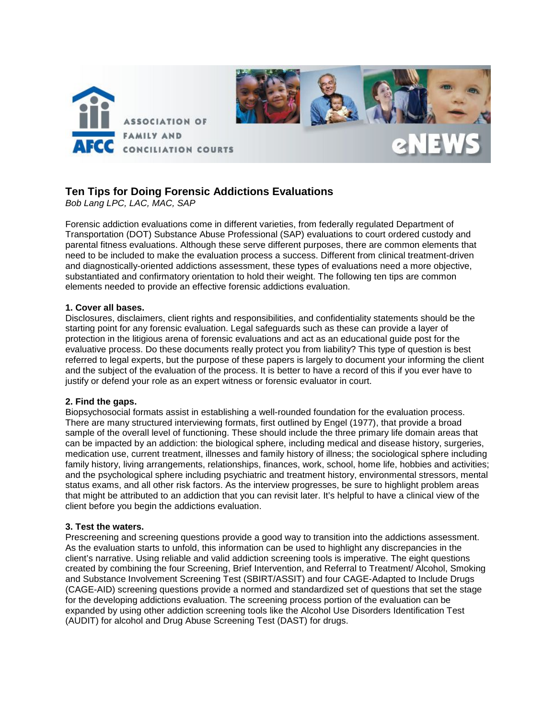

## **Ten Tips for Doing Forensic Addictions Evaluations**

*Bob Lang LPC, LAC, MAC, SAP*

Forensic addiction evaluations come in different varieties, from federally regulated Department of Transportation (DOT) Substance Abuse Professional (SAP) evaluations to court ordered custody and parental fitness evaluations. Although these serve different purposes, there are common elements that need to be included to make the evaluation process a success. Different from clinical treatment-driven and diagnostically-oriented addictions assessment, these types of evaluations need a more objective, substantiated and confirmatory orientation to hold their weight. The following ten tips are common elements needed to provide an effective forensic addictions evaluation.

#### **1. Cover all bases.**

Disclosures, disclaimers, client rights and responsibilities, and confidentiality statements should be the starting point for any forensic evaluation. Legal safeguards such as these can provide a layer of protection in the litigious arena of forensic evaluations and act as an educational guide post for the evaluative process. Do these documents really protect you from liability? This type of question is best referred to legal experts, but the purpose of these papers is largely to document your informing the client and the subject of the evaluation of the process. It is better to have a record of this if you ever have to justify or defend your role as an expert witness or forensic evaluator in court.

#### **2. Find the gaps.**

Biopsychosocial formats assist in establishing a well-rounded foundation for the evaluation process. There are many structured interviewing formats, first outlined by Engel (1977), that provide a broad sample of the overall level of functioning. These should include the three primary life domain areas that can be impacted by an addiction: the biological sphere, including medical and disease history, surgeries, medication use, current treatment, illnesses and family history of illness; the sociological sphere including family history, living arrangements, relationships, finances, work, school, home life, hobbies and activities; and the psychological sphere including psychiatric and treatment history, environmental stressors, mental status exams, and all other risk factors. As the interview progresses, be sure to highlight problem areas that might be attributed to an addiction that you can revisit later. It's helpful to have a clinical view of the client before you begin the addictions evaluation.

#### **3. Test the waters.**

Prescreening and screening questions provide a good way to transition into the addictions assessment. As the evaluation starts to unfold, this information can be used to highlight any discrepancies in the client's narrative. Using reliable and valid addiction screening tools is imperative. The eight questions created by combining the four Screening, Brief Intervention, and Referral to Treatment/ Alcohol, Smoking and Substance Involvement Screening Test (SBIRT/ASSIT) and four CAGE-Adapted to Include Drugs (CAGE-AID) screening questions provide a normed and standardized set of questions that set the stage for the developing addictions evaluation. The screening process portion of the evaluation can be expanded by using other addiction screening tools like the Alcohol Use Disorders Identification Test (AUDIT) for alcohol and Drug Abuse Screening Test (DAST) for drugs.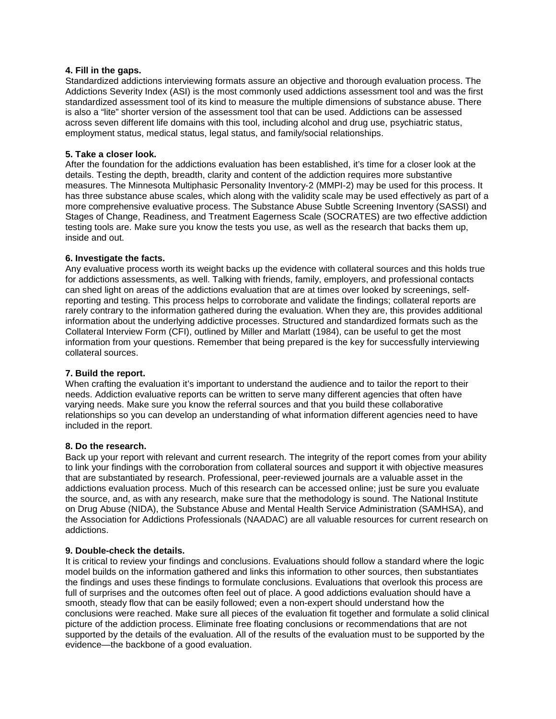#### **4. Fill in the gaps.**

Standardized addictions interviewing formats assure an objective and thorough evaluation process. The Addictions Severity Index (ASI) is the most commonly used addictions assessment tool and was the first standardized assessment tool of its kind to measure the multiple dimensions of substance abuse. There is also a "lite" shorter version of the assessment tool that can be used. Addictions can be assessed across seven different life domains with this tool, including alcohol and drug use, psychiatric status, employment status, medical status, legal status, and family/social relationships.

#### **5. Take a closer look.**

After the foundation for the addictions evaluation has been established, it's time for a closer look at the details. Testing the depth, breadth, clarity and content of the addiction requires more substantive measures. The Minnesota Multiphasic Personality Inventory-2 (MMPI-2) may be used for this process. It has three substance abuse scales, which along with the validity scale may be used effectively as part of a more comprehensive evaluative process. The Substance Abuse Subtle Screening Inventory (SASSI) and Stages of Change, Readiness, and Treatment Eagerness Scale (SOCRATES) are two effective addiction testing tools are. Make sure you know the tests you use, as well as the research that backs them up, inside and out.

#### **6. Investigate the facts.**

Any evaluative process worth its weight backs up the evidence with collateral sources and this holds true for addictions assessments, as well. Talking with friends, family, employers, and professional contacts can shed light on areas of the addictions evaluation that are at times over looked by screenings, selfreporting and testing. This process helps to corroborate and validate the findings; collateral reports are rarely contrary to the information gathered during the evaluation. When they are, this provides additional information about the underlying addictive processes. Structured and standardized formats such as the Collateral Interview Form (CFI), outlined by Miller and Marlatt (1984), can be useful to get the most information from your questions. Remember that being prepared is the key for successfully interviewing collateral sources.

#### **7. Build the report.**

When crafting the evaluation it's important to understand the audience and to tailor the report to their needs. Addiction evaluative reports can be written to serve many different agencies that often have varying needs. Make sure you know the referral sources and that you build these collaborative relationships so you can develop an understanding of what information different agencies need to have included in the report.

#### **8. Do the research.**

Back up your report with relevant and current research. The integrity of the report comes from your ability to link your findings with the corroboration from collateral sources and support it with objective measures that are substantiated by research. Professional, peer-reviewed journals are a valuable asset in the addictions evaluation process. Much of this research can be accessed online; just be sure you evaluate the source, and, as with any research, make sure that the methodology is sound. The National Institute on Drug Abuse (NIDA), the Substance Abuse and Mental Health Service Administration (SAMHSA), and the Association for Addictions Professionals (NAADAC) are all valuable resources for current research on addictions.

#### **9. Double-check the details.**

It is critical to review your findings and conclusions. Evaluations should follow a standard where the logic model builds on the information gathered and links this information to other sources, then substantiates the findings and uses these findings to formulate conclusions. Evaluations that overlook this process are full of surprises and the outcomes often feel out of place. A good addictions evaluation should have a smooth, steady flow that can be easily followed; even a non-expert should understand how the conclusions were reached. Make sure all pieces of the evaluation fit together and formulate a solid clinical picture of the addiction process. Eliminate free floating conclusions or recommendations that are not supported by the details of the evaluation. All of the results of the evaluation must to be supported by the evidence—the backbone of a good evaluation.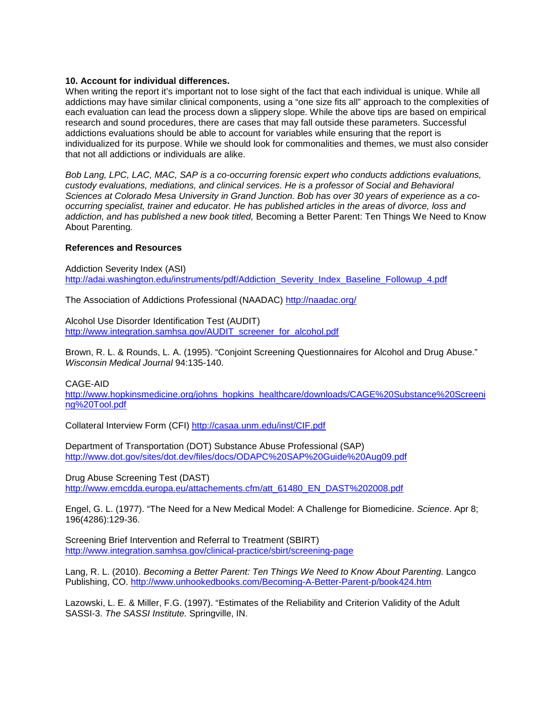#### **10. Account for individual differences.**

When writing the report it's important not to lose sight of the fact that each individual is unique. While all addictions may have similar clinical components, using a "one size fits all" approach to the complexities of each evaluation can lead the process down a slippery slope. While the above tips are based on empirical research and sound procedures, there are cases that may fall outside these parameters. Successful addictions evaluations should be able to account for variables while ensuring that the report is individualized for its purpose. While we should look for commonalities and themes, we must also consider that not all addictions or individuals are alike.

*Bob Lang, LPC, LAC, MAC, SAP is a co-occurring forensic expert who conducts addictions evaluations, custody evaluations, mediations, and clinical services. He is a professor of Social and Behavioral Sciences at Colorado Mesa University in Grand Junction. Bob has over 30 years of experience as a cooccurring specialist, trainer and educator. He has published articles in the areas of divorce, loss and addiction, and has published a new book titled,* Becoming a Better Parent: Ten Things We Need to Know About Parenting*.* 

#### **References and Resources**

Addiction Severity Index (ASI) [http://adai.washington.edu/instruments/pdf/Addiction\\_Severity\\_Index\\_Baseline\\_Followup\\_4.pdf](http://adai.washington.edu/instruments/pdf/Addiction_Severity_Index_Baseline_Followup_4.pdf)

The Association of Addictions Professional (NAADAC)<http://naadac.org/>

Alcohol Use Disorder Identification Test (AUDIT) [http://www.integration.samhsa.gov/AUDIT\\_screener\\_for\\_alcohol.pdf](http://www.integration.samhsa.gov/AUDIT_screener_for_alcohol.pdf)

Brown, R. L. & Rounds, L. A. (1995). "Conjoint Screening Questionnaires for Alcohol and Drug Abuse." *Wisconsin Medical Journal* 94:135-140.

#### CAGE-AID

[http://www.hopkinsmedicine.org/johns\\_hopkins\\_healthcare/downloads/CAGE%20Substance%20Screeni](http://www.hopkinsmedicine.org/johns_hopkins_healthcare/downloads/CAGE%20Substance%20Screening%20Tool.pdf) [ng%20Tool.pdf](http://www.hopkinsmedicine.org/johns_hopkins_healthcare/downloads/CAGE%20Substance%20Screening%20Tool.pdf)

Collateral Interview Form (CFI)<http://casaa.unm.edu/inst/CIF.pdf>

Department of Transportation (DOT) Substance Abuse Professional (SAP) <http://www.dot.gov/sites/dot.dev/files/docs/ODAPC%20SAP%20Guide%20Aug09.pdf>

Drug Abuse Screening Test (DAST) [http://www.emcdda.europa.eu/attachements.cfm/att\\_61480\\_EN\\_DAST%202008.pdf](http://www.emcdda.europa.eu/attachements.cfm/att_61480_EN_DAST%202008.pdf)

Engel, G. L. (1977). "The Need for a New Medical Model: A Challenge for Biomedicine. *Science*. Apr 8; 196(4286):129-36.

Screening Brief Intervention and Referral to Treatment (SBIRT) <http://www.integration.samhsa.gov/clinical-practice/sbirt/screening-page>

Lang, R. L. (2010). *Becoming a Better Parent: Ten Things We Need to Know About Parenting.* Langco Publishing, CO. <http://www.unhookedbooks.com/Becoming-A-Better-Parent-p/book424.htm>

Lazowski, L. E. & Miller, F.G. (1997). "Estimates of the Reliability and Criterion Validity of the Adult SASSI-3. *The SASSI Institute.* Springville, IN.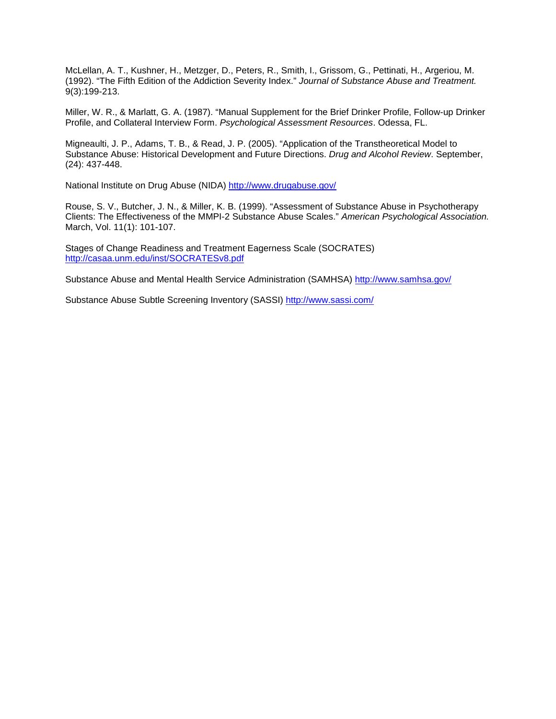McLellan, A. T., Kushner, H., Metzger, D., Peters, R., Smith, I., Grissom, G., Pettinati, H., Argeriou, M. (1992). "The Fifth Edition of the Addiction Severity Index." *Journal of Substance Abuse and Treatment.*  9(3):199-213.

Miller, W. R., & Marlatt, G. A. (1987). "Manual Supplement for the Brief Drinker Profile, Follow-up Drinker Profile, and Collateral Interview Form. *Psychological Assessment Resources*. Odessa, FL.

Migneaulti, J. P., Adams, T. B., & Read, J. P. (2005). "Application of the Transtheoretical Model to Substance Abuse: Historical Development and Future Directions. *Drug and Alcohol Review*. September, (24): 437-448.

National Institute on Drug Abuse (NIDA)<http://www.drugabuse.gov/>

Rouse, S. V., Butcher, J. N., & Miller, K. B. (1999). "Assessment of Substance Abuse in Psychotherapy Clients: The Effectiveness of the MMPI-2 Substance Abuse Scales." *American Psychological Association.* March, Vol. 11(1): 101-107.

Stages of Change Readiness and Treatment Eagerness Scale (SOCRATES) <http://casaa.unm.edu/inst/SOCRATESv8.pdf>

Substance Abuse and Mental Health Service Administration (SAMHSA)<http://www.samhsa.gov/>

Substance Abuse Subtle Screening Inventory (SASSI)<http://www.sassi.com/>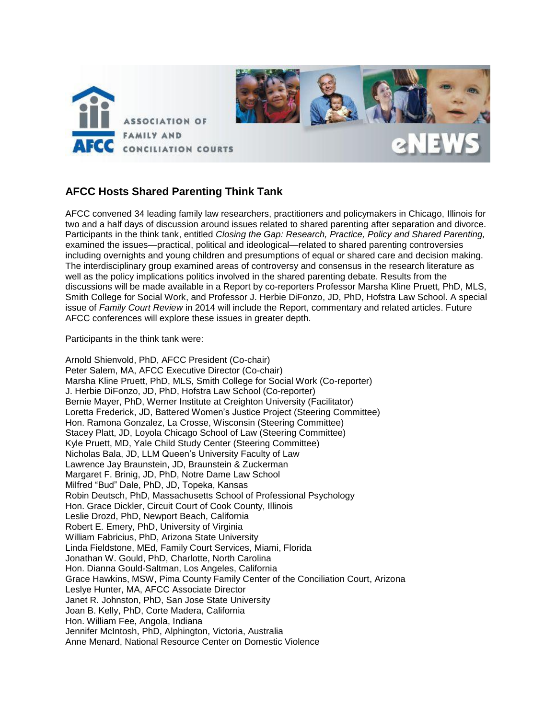

## **AFCC Hosts Shared Parenting Think Tank**

AFCC convened 34 leading family law researchers, practitioners and policymakers in Chicago, Illinois for two and a half days of discussion around issues related to shared parenting after separation and divorce. Participants in the think tank, entitled *Closing the Gap: Research, Practice, Policy and Shared Parenting,*  examined the issues—practical, political and ideological—related to shared parenting controversies including overnights and young children and presumptions of equal or shared care and decision making. The interdisciplinary group examined areas of controversy and consensus in the research literature as well as the policy implications politics involved in the shared parenting debate. Results from the discussions will be made available in a Report by co-reporters Professor Marsha Kline Pruett, PhD, MLS, Smith College for Social Work, and Professor J. Herbie DiFonzo, JD, PhD, Hofstra Law School. A special issue of *Family Court Review* in 2014 will include the Report, commentary and related articles. Future AFCC conferences will explore these issues in greater depth.

Participants in the think tank were:

Arnold Shienvold, PhD, AFCC President (Co-chair) Peter Salem, MA, AFCC Executive Director (Co-chair) Marsha Kline Pruett, PhD, MLS, Smith College for Social Work (Co-reporter) J. Herbie DiFonzo, JD, PhD, Hofstra Law School (Co-reporter) Bernie Mayer, PhD, Werner Institute at Creighton University (Facilitator) Loretta Frederick, JD, Battered Women's Justice Project (Steering Committee) Hon. Ramona Gonzalez, La Crosse, Wisconsin (Steering Committee) Stacey Platt, JD, Loyola Chicago School of Law (Steering Committee) Kyle Pruett, MD, Yale Child Study Center (Steering Committee) Nicholas Bala, JD, LLM Queen's University Faculty of Law Lawrence Jay Braunstein, JD, Braunstein & Zuckerman Margaret F. Brinig, JD, PhD, Notre Dame Law School Milfred "Bud" Dale, PhD, JD, Topeka, Kansas Robin Deutsch, PhD, Massachusetts School of Professional Psychology Hon. Grace Dickler, Circuit Court of Cook County, Illinois Leslie Drozd, PhD, Newport Beach, California Robert E. Emery, PhD, University of Virginia William Fabricius, PhD, Arizona State University Linda Fieldstone, MEd, Family Court Services, Miami, Florida Jonathan W. Gould, PhD, Charlotte, North Carolina Hon. Dianna Gould-Saltman, Los Angeles, California Grace Hawkins, MSW, Pima County Family Center of the Conciliation Court, Arizona Leslye Hunter, MA, AFCC Associate Director Janet R. Johnston, PhD, San Jose State University Joan B. Kelly, PhD, Corte Madera, California Hon. William Fee, Angola, Indiana Jennifer McIntosh, PhD, Alphington, Victoria, Australia Anne Menard, National Resource Center on Domestic Violence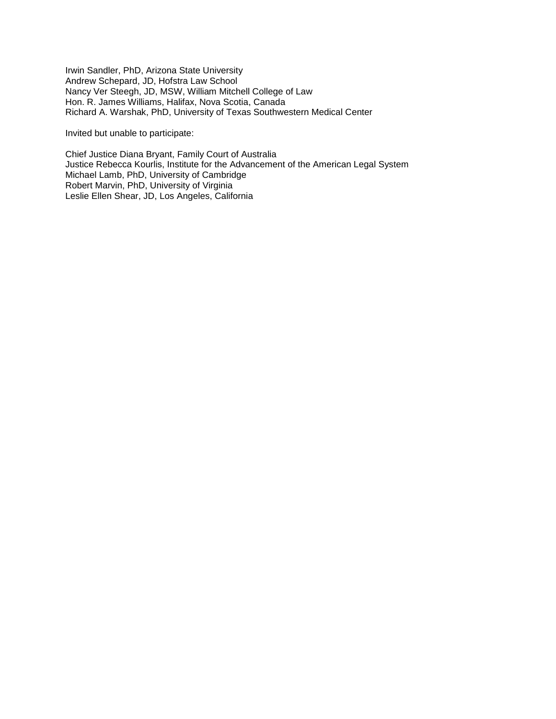Irwin Sandler, PhD, Arizona State University Andrew Schepard, JD, Hofstra Law School Nancy Ver Steegh, JD, MSW, William Mitchell College of Law Hon. R. James Williams, Halifax, Nova Scotia, Canada Richard A. Warshak, PhD, University of Texas Southwestern Medical Center

Invited but unable to participate:

Chief Justice Diana Bryant, Family Court of Australia Justice Rebecca Kourlis, Institute for the Advancement of the American Legal System Michael Lamb, PhD, University of Cambridge Robert Marvin, PhD, University of Virginia Leslie Ellen Shear, JD, Los Angeles, California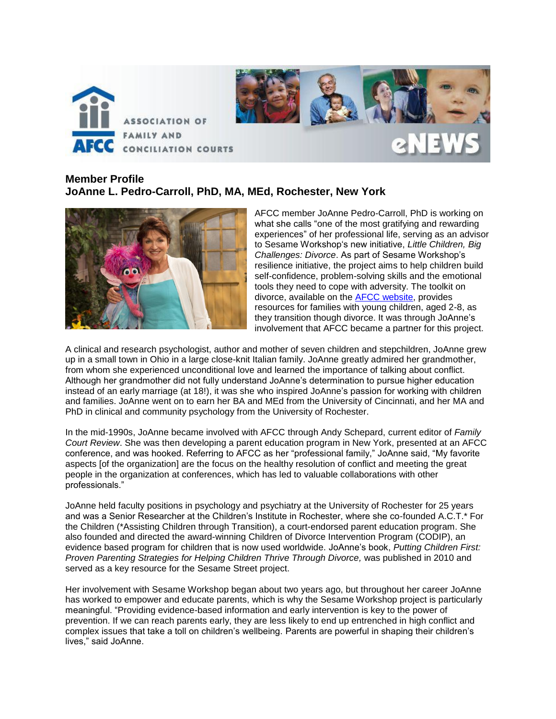

## **Member Profile JoAnne L. Pedro-Carroll, PhD, MA, MEd, Rochester, New York**



AFCC member JoAnne Pedro-Carroll, PhD is working on what she calls "one of the most gratifying and rewarding experiences" of her professional life, serving as an advisor to Sesame Workshop's new initiative, *Little Children, Big Challenges: Divorce*. As part of Sesame Workshop's resilience initiative, the project aims to help children build self-confidence, problem-solving skills and the emotional tools they need to cope with adversity. The toolkit on divorce, available on the [AFCC website,](http://www.afccnet.org/resourcecenter/resourcesforfamilies/categoryid/1) provides resources for families with young children, aged 2-8, as they transition though divorce. It was through JoAnne's involvement that AFCC became a partner for this project.

A clinical and research psychologist, author and mother of seven children and stepchildren, JoAnne grew up in a small town in Ohio in a large close-knit Italian family. JoAnne greatly admired her grandmother, from whom she experienced unconditional love and learned the importance of talking about conflict. Although her grandmother did not fully understand JoAnne's determination to pursue higher education instead of an early marriage (at 18!), it was she who inspired JoAnne's passion for working with children and families. JoAnne went on to earn her BA and MEd from the University of Cincinnati, and her MA and PhD in clinical and community psychology from the University of Rochester.

In the mid-1990s, JoAnne became involved with AFCC through Andy Schepard, current editor of *Family Court Review*. She was then developing a parent education program in New York, presented at an AFCC conference, and was hooked. Referring to AFCC as her "professional family," JoAnne said, "My favorite aspects [of the organization] are the focus on the healthy resolution of conflict and meeting the great people in the organization at conferences, which has led to valuable collaborations with other professionals."

JoAnne held faculty positions in psychology and psychiatry at the University of Rochester for 25 years and was a Senior Researcher at the Children's Institute in Rochester, where she co-founded A.C.T.\* For the Children (\*Assisting Children through Transition), a court-endorsed parent education program. She also founded and directed the award-winning Children of Divorce Intervention Program (CODIP), an evidence based program for children that is now used worldwide. JoAnne's book, *Putting Children First: Proven Parenting Strategies for Helping Children Thrive Through Divorce,* was published in 2010 and served as a key resource for the Sesame Street project.

Her involvement with Sesame Workshop began about two years ago, but throughout her career JoAnne has worked to empower and educate parents, which is why the Sesame Workshop project is particularly meaningful. "Providing evidence-based information and early intervention is key to the power of prevention. If we can reach parents early, they are less likely to end up entrenched in high conflict and complex issues that take a toll on children's wellbeing. Parents are powerful in shaping their children's lives," said JoAnne.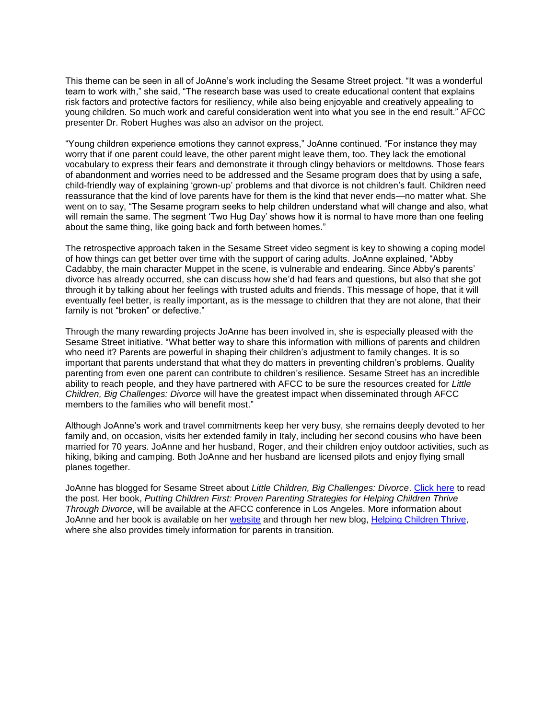This theme can be seen in all of JoAnne's work including the Sesame Street project. "It was a wonderful team to work with," she said, "The research base was used to create educational content that explains risk factors and protective factors for resiliency, while also being enjoyable and creatively appealing to young children. So much work and careful consideration went into what you see in the end result." AFCC presenter Dr. Robert Hughes was also an advisor on the project.

"Young children experience emotions they cannot express," JoAnne continued. "For instance they may worry that if one parent could leave, the other parent might leave them, too. They lack the emotional vocabulary to express their fears and demonstrate it through clingy behaviors or meltdowns. Those fears of abandonment and worries need to be addressed and the Sesame program does that by using a safe, child-friendly way of explaining 'grown-up' problems and that divorce is not children's fault. Children need reassurance that the kind of love parents have for them is the kind that never ends—no matter what. She went on to say, "The Sesame program seeks to help children understand what will change and also, what will remain the same. The segment 'Two Hug Day' shows how it is normal to have more than one feeling about the same thing, like going back and forth between homes."

The retrospective approach taken in the Sesame Street video segment is key to showing a coping model of how things can get better over time with the support of caring adults. JoAnne explained, "Abby Cadabby, the main character Muppet in the scene, is vulnerable and endearing. Since Abby's parents' divorce has already occurred, she can discuss how she'd had fears and questions, but also that she got through it by talking about her feelings with trusted adults and friends. This message of hope, that it will eventually feel better, is really important, as is the message to children that they are not alone, that their family is not "broken" or defective."

Through the many rewarding projects JoAnne has been involved in, she is especially pleased with the Sesame Street initiative. "What better way to share this information with millions of parents and children who need it? Parents are powerful in shaping their children's adjustment to family changes. It is so important that parents understand that what they do matters in preventing children's problems. Quality parenting from even one parent can contribute to children's resilience. Sesame Street has an incredible ability to reach people, and they have partnered with AFCC to be sure the resources created for *Little Children, Big Challenges: Divorce* will have the greatest impact when disseminated through AFCC members to the families who will benefit most."

Although JoAnne's work and travel commitments keep her very busy, she remains deeply devoted to her family and, on occasion, visits her extended family in Italy, including her second cousins who have been married for 70 years. JoAnne and her husband, Roger, and their children enjoy outdoor activities, such as hiking, biking and camping. Both JoAnne and her husband are licensed pilots and enjoy flying small planes together.

JoAnne has blogged for Sesame Street about *Little Children, Big Challenges: Divorce*. [Click here](http://www.sesameworkshop.org/our-blog/2013/02/05/divorce/) to read the post. Her book, *Putting Children First: Proven Parenting Strategies for Helping Children Thrive Through Divorce*, will be available at the AFCC conference in Los Angeles. More information about JoAnne and her book is available on her [website](http://pedro-carroll.com/) and through her new blog, [Helping Children Thrive,](http://helpingchildrenthrive.wordpress.com/) where she also provides timely information for parents in transition.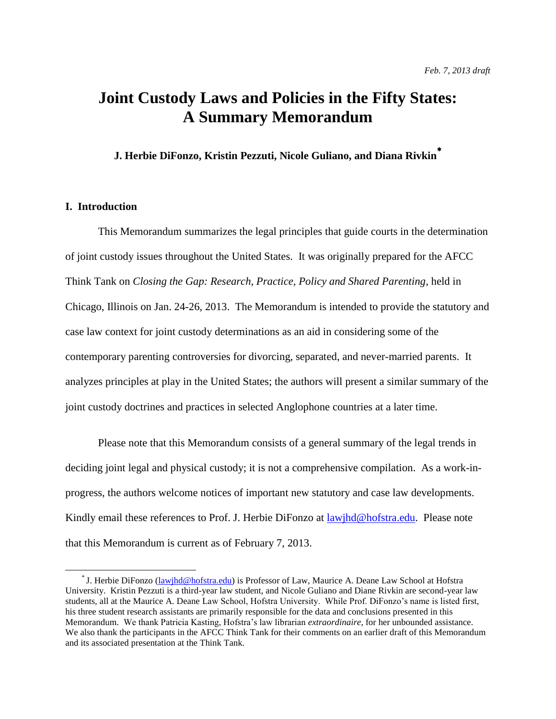# **Joint Custody Laws and Policies in the Fifty States: A Summary Memorandum**

**J. Herbie DiFonzo, Kristin Pezzuti, Nicole Guliano, and Diana Rivkin**

### **I. Introduction**

 $\overline{a}$ 

This Memorandum summarizes the legal principles that guide courts in the determination of joint custody issues throughout the United States. It was originally prepared for the AFCC Think Tank on *Closing the Gap: Research, Practice, Policy and Shared Parenting*, held in Chicago, Illinois on Jan. 24-26, 2013. The Memorandum is intended to provide the statutory and case law context for joint custody determinations as an aid in considering some of the contemporary parenting controversies for divorcing, separated, and never-married parents. It analyzes principles at play in the United States; the authors will present a similar summary of the joint custody doctrines and practices in selected Anglophone countries at a later time.

Please note that this Memorandum consists of a general summary of the legal trends in deciding joint legal and physical custody; it is not a comprehensive compilation. As a work-inprogress, the authors welcome notices of important new statutory and case law developments. Kindly email these references to Prof. J. Herbie DiFonzo at <u>lawjhd@hofstra.edu</u>. Please note that this Memorandum is current as of February 7, 2013.

<sup>\*</sup> J. Herbie DiFonzo (*lawihd@hofstra.edu*) is Professor of Law, Maurice A. Deane Law School at Hofstra University. Kristin Pezzuti is a third-year law student, and Nicole Guliano and Diane Rivkin are second-year law students, all at the Maurice A. Deane Law School, Hofstra University. While Prof. DiFonzo's name is listed first, his three student research assistants are primarily responsible for the data and conclusions presented in this Memorandum. We thank Patricia Kasting, Hofstra's law librarian *extraordinaire*, for her unbounded assistance. We also thank the participants in the AFCC Think Tank for their comments on an earlier draft of this Memorandum and its associated presentation at the Think Tank.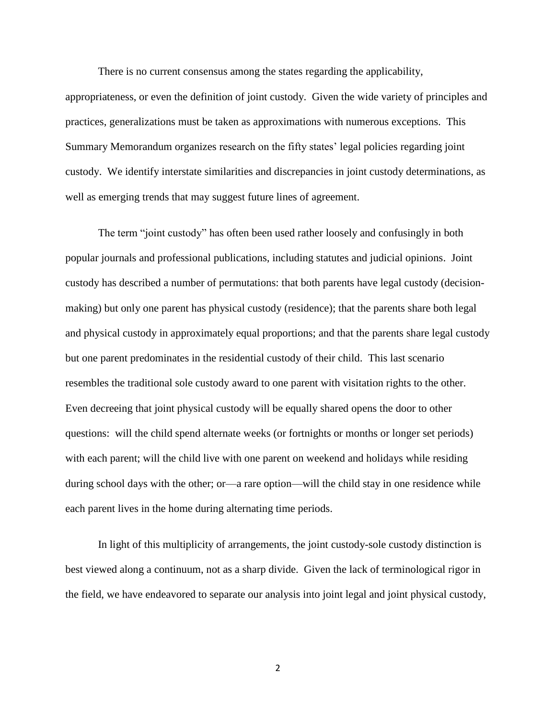There is no current consensus among the states regarding the applicability,

appropriateness, or even the definition of joint custody. Given the wide variety of principles and practices, generalizations must be taken as approximations with numerous exceptions. This Summary Memorandum organizes research on the fifty states' legal policies regarding joint custody. We identify interstate similarities and discrepancies in joint custody determinations, as well as emerging trends that may suggest future lines of agreement.

The term "joint custody" has often been used rather loosely and confusingly in both popular journals and professional publications, including statutes and judicial opinions. Joint custody has described a number of permutations: that both parents have legal custody (decisionmaking) but only one parent has physical custody (residence); that the parents share both legal and physical custody in approximately equal proportions; and that the parents share legal custody but one parent predominates in the residential custody of their child. This last scenario resembles the traditional sole custody award to one parent with visitation rights to the other. Even decreeing that joint physical custody will be equally shared opens the door to other questions: will the child spend alternate weeks (or fortnights or months or longer set periods) with each parent; will the child live with one parent on weekend and holidays while residing during school days with the other; or—a rare option—will the child stay in one residence while each parent lives in the home during alternating time periods.

In light of this multiplicity of arrangements, the joint custody-sole custody distinction is best viewed along a continuum, not as a sharp divide. Given the lack of terminological rigor in the field, we have endeavored to separate our analysis into joint legal and joint physical custody,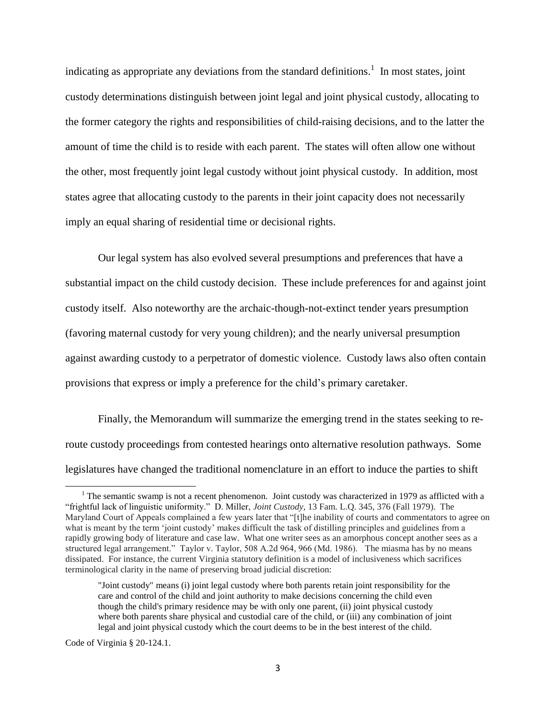indicating as appropriate any deviations from the standard definitions.<sup>1</sup> In most states, joint custody determinations distinguish between joint legal and joint physical custody, allocating to the former category the rights and responsibilities of child-raising decisions, and to the latter the amount of time the child is to reside with each parent. The states will often allow one without the other, most frequently joint legal custody without joint physical custody. In addition, most states agree that allocating custody to the parents in their joint capacity does not necessarily imply an equal sharing of residential time or decisional rights.

Our legal system has also evolved several presumptions and preferences that have a substantial impact on the child custody decision. These include preferences for and against joint custody itself. Also noteworthy are the archaic-though-not-extinct tender years presumption (favoring maternal custody for very young children); and the nearly universal presumption against awarding custody to a perpetrator of domestic violence. Custody laws also often contain provisions that express or imply a preference for the child's primary caretaker.

Finally, the Memorandum will summarize the emerging trend in the states seeking to reroute custody proceedings from contested hearings onto alternative resolution pathways. Some legislatures have changed the traditional nomenclature in an effort to induce the parties to shift

Code of Virginia § 20-124.1.

l

<sup>&</sup>lt;sup>1</sup> The semantic swamp is not a recent phenomenon. Joint custody was characterized in 1979 as afflicted with a "frightful lack of linguistic uniformity." D. Miller, *Joint Custody,* 13 Fam. L.Q. 345, 376 (Fall 1979). The Maryland Court of Appeals complained a few years later that "[t]he inability of courts and commentators to agree on what is meant by the term 'joint custody' makes difficult the task of distilling principles and guidelines from a rapidly growing body of literature and case law. What one writer sees as an amorphous concept another sees as a structured legal arrangement." Taylor v. Taylor, 508 A.2d 964, 966 (Md. 1986). The miasma has by no means dissipated. For instance, the current Virginia statutory definition is a model of inclusiveness which sacrifices terminological clarity in the name of preserving broad judicial discretion:

<sup>&</sup>quot;Joint custody" means (i) joint legal custody where both parents retain joint responsibility for the care and control of the child and joint authority to make decisions concerning the child even though the child's primary residence may be with only one parent, (ii) joint physical custody where both parents share physical and custodial care of the child, or (iii) any combination of joint legal and joint physical custody which the court deems to be in the best interest of the child.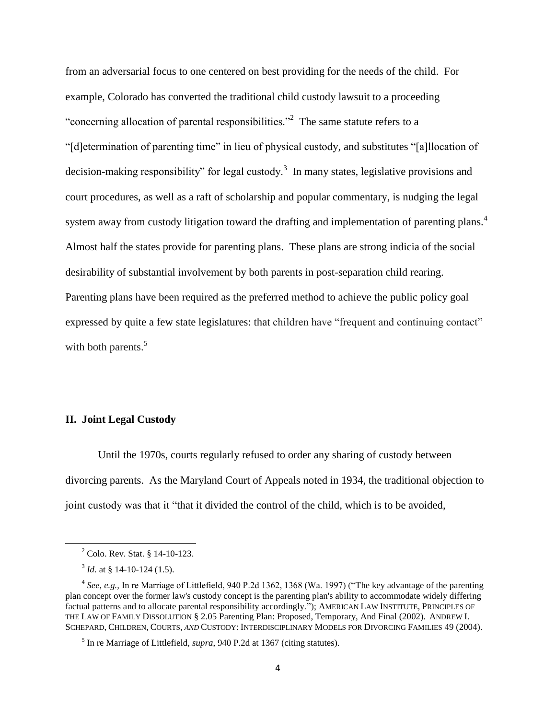from an adversarial focus to one centered on best providing for the needs of the child. For example, Colorado has converted the traditional child custody lawsuit to a proceeding "concerning allocation of parental responsibilities."<sup>2</sup> The same statute refers to a "[d]etermination of parenting time" in lieu of physical custody, and substitutes "[a]llocation of decision-making responsibility" for legal custody.<sup>3</sup> In many states, legislative provisions and court procedures, as well as a raft of scholarship and popular commentary, is nudging the legal system away from custody litigation toward the drafting and implementation of parenting plans.<sup>4</sup> Almost half the states provide for parenting plans. These plans are strong indicia of the social desirability of substantial involvement by both parents in post-separation child rearing. Parenting plans have been required as the preferred method to achieve the public policy goal expressed by quite a few state legislatures: that children have "frequent and continuing contact" with both parents.<sup>5</sup>

#### **II. Joint Legal Custody**

Until the 1970s, courts regularly refused to order any sharing of custody between divorcing parents. As the Maryland Court of Appeals noted in 1934, the traditional objection to joint custody was that it "that it divided the control of the child, which is to be avoided,

l

<sup>2</sup> Colo. Rev. Stat. § 14-10-123.

 $3$  *Id.* at § 14-10-124 (1.5).

<sup>&</sup>lt;sup>4</sup> See, e.g., In re Marriage of Littlefield, 940 P.2d 1362, 1368 (Wa. 1997) ("The key advantage of the parenting plan concept over the former law's custody concept is the parenting plan's ability to accommodate widely differing factual patterns and to allocate parental responsibility accordingly."); AMERICAN LAW INSTITUTE, PRINCIPLES OF THE LAW OF FAMILY DISSOLUTION § 2.05 Parenting Plan: Proposed, Temporary, And Final (2002). ANDREW I. SCHEPARD, CHILDREN, COURTS, *AND* CUSTODY: INTERDISCIPLINARY MODELS FOR DIVORCING FAMILIES 49 (2004).

<sup>5</sup> In re Marriage of Littlefield, *supra*, 940 P.2d at 1367 (citing statutes).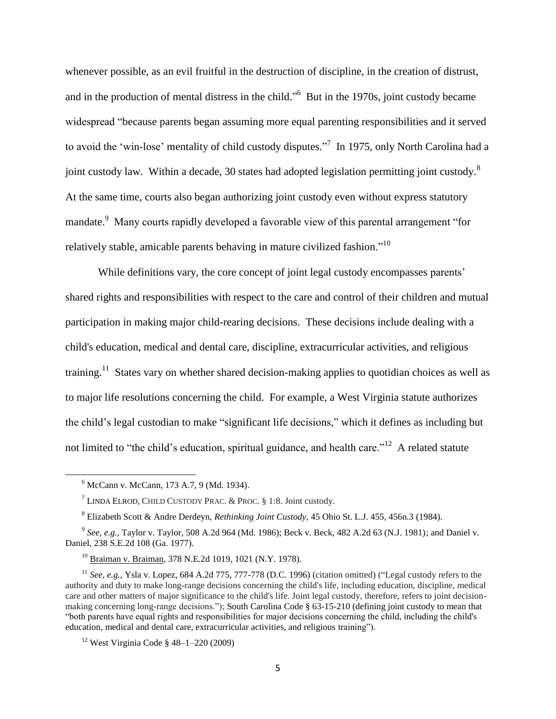whenever possible, as an evil fruitful in the destruction of discipline, in the creation of distrust, and in the production of mental distress in the child."<sup>6</sup> But in the 1970s, joint custody became widespread "because parents began assuming more equal parenting responsibilities and it served to avoid the 'win-lose' mentality of child custody disputes."<sup>7</sup> In 1975, only North Carolina had a joint custody law. Within a decade, 30 states had adopted legislation permitting joint custody.<sup>8</sup> At the same time, courts also began authorizing joint custody even without express statutory mandate.<sup>9</sup> Many courts rapidly developed a favorable view of this parental arrangement "for relatively stable, amicable parents behaving in mature civilized fashion.<sup>"10</sup>

While definitions vary, the core concept of joint legal custody encompasses parents' shared rights and responsibilities with respect to the care and control of their children and mutual participation in making major child-rearing decisions. These decisions include dealing with a child's education, medical and dental care, discipline, extracurricular activities, and religious training.<sup>11</sup> States vary on whether shared decision-making applies to quotidian choices as well as to major life resolutions concerning the child. For example, a West Virginia statute authorizes the child's legal custodian to make "significant life decisions," which it defines as including but not limited to "the child's education, spiritual guidance, and health care."<sup>12</sup> A related statute

<sup>6</sup> McCann v. McCann, 173 A.7, 9 (Md. 1934).

<sup>&</sup>lt;sup>7</sup> LINDA ELROD, CHILD CUSTODY PRAC. & PROC.  $§$  1:8. Joint custody.

<sup>8</sup> Elizabeth Scott & Andre Derdeyn, *Rethinking Joint Custody*, 45 Ohio St. L.J. 455, 456n.3 (1984).

<sup>9</sup> *See, e.g.,* Taylor v. Taylor, 508 A.2d 964 (Md. 1986); Beck v. Beck, 482 A.2d 63 (N.J. 1981); and Daniel v. Daniel, 238 S.E.2d 108 (Ga. 1977).

<sup>10</sup> Braiman v. Braiman, 378 N.E.2d 1019, 1021 (N.Y. 1978).

<sup>11</sup> *See, e.g.,* Ysla v. Lopez, 684 A.2d 775, 777-778 (D.C. 1996) (citation omitted) ("Legal custody refers to the authority and duty to make long-range decisions concerning the child's life, including education, discipline, medical care and other matters of major significance to the child's life. Joint legal custody, therefore, refers to joint decisionmaking concerning long-range decisions."); South Carolina Code § 63-15-210 (defining joint custody to mean that "both parents have equal rights and responsibilities for major decisions concerning the child, including the child's education, medical and dental care, extracurricular activities, and religious training").

<sup>&</sup>lt;sup>12</sup> West Virginia Code §  $48 - 1 - 220$  (2009)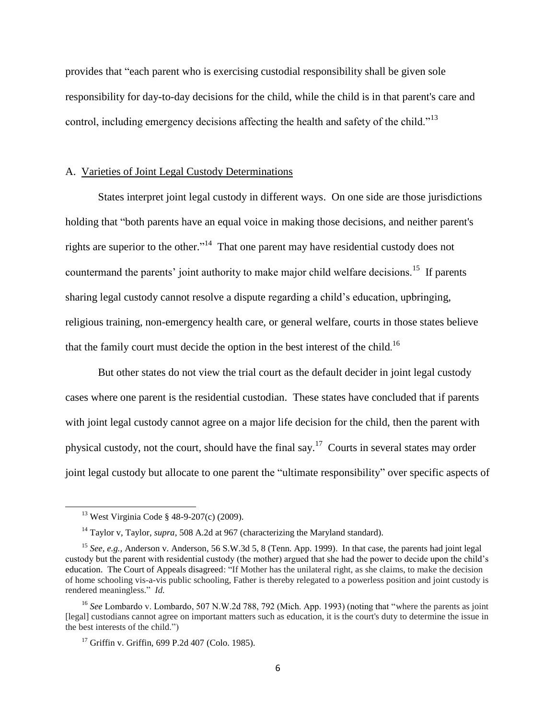provides that "each parent who is exercising custodial responsibility shall be given sole responsibility for day-to-day decisions for the child, while the child is in that parent's care and control, including emergency decisions affecting the health and safety of the child."<sup>13</sup>

#### A. Varieties of Joint Legal Custody Determinations

States interpret joint legal custody in different ways. On one side are those jurisdictions holding that "both parents have an equal voice in making those decisions, and neither parent's rights are superior to the other."<sup>14</sup> That one parent may have residential custody does not countermand the parents' joint authority to make major child welfare decisions.<sup>15</sup> If parents sharing legal custody cannot resolve a dispute regarding a child's education, upbringing, religious training, non-emergency health care, or general welfare, courts in those states believe that the family court must decide the option in the best interest of the child.<sup>16</sup>

But other states do not view the trial court as the default decider in joint legal custody cases where one parent is the residential custodian. These states have concluded that if parents with joint legal custody cannot agree on a major life decision for the child, then the parent with physical custody, not the court, should have the final say.<sup>17</sup> Courts in several states may order joint legal custody but allocate to one parent the "ultimate responsibility" over specific aspects of

l

<sup>13</sup> West Virginia Code § 48-9-207(c) (2009).

<sup>14</sup> Taylor v, Taylor*, supra*, 508 A.2d at 967 (characterizing the Maryland standard).

<sup>15</sup> *See, e.g.,* Anderson v. Anderson*,* 56 S.W.3d 5, 8 (Tenn. App. 1999). In that case, the parents had joint legal custody but the parent with residential custody (the mother) argued that she had the power to decide upon the child's education. The Court of Appeals disagreed: "If Mother has the unilateral right, as she claims, to make the decision of home schooling vis-a-vis public schooling, Father is thereby relegated to a powerless position and joint custody is rendered meaningless." *Id.*

<sup>&</sup>lt;sup>16</sup> See Lombardo v. Lombardo, 507 N.W.2d 788, 792 (Mich. App. 1993) (noting that "where the parents as joint [legal] custodians cannot agree on important matters such as education, it is the court's duty to determine the issue in the best interests of the child.")

 $17$  Griffin v. Griffin, 699 P.2d 407 (Colo. 1985).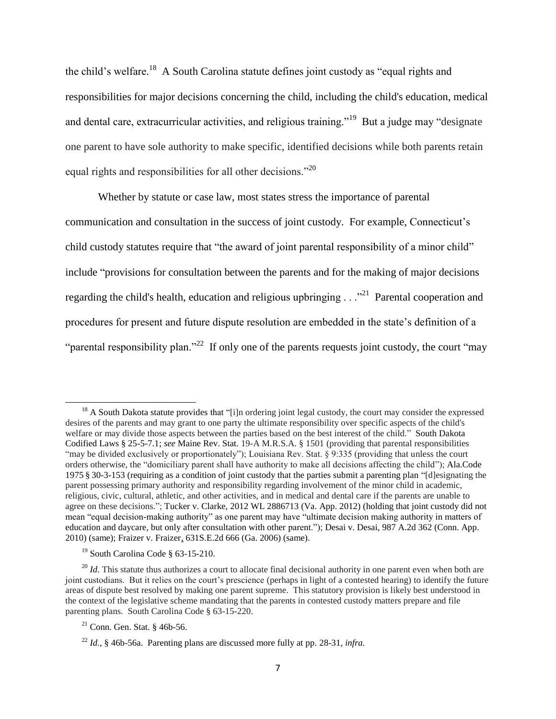the child's welfare.<sup>18</sup> A South Carolina statute defines joint custody as "equal rights and responsibilities for major decisions concerning the child, including the child's education, medical and dental care, extracurricular activities, and religious training."<sup>19</sup> But a judge may "designate one parent to have sole authority to make specific, identified decisions while both parents retain equal rights and responsibilities for all other decisions."<sup>20</sup>

Whether by statute or case law, most states stress the importance of parental communication and consultation in the success of joint custody. For example, Connecticut's child custody statutes require that "the award of joint parental responsibility of a minor child" include "provisions for consultation between the parents and for the making of major decisions regarding the child's health, education and religious upbringing  $\ldots$ <sup>21</sup> Parental cooperation and procedures for present and future dispute resolution are embedded in the state's definition of a "parental responsibility plan."<sup>22</sup> If only one of the parents requests joint custody, the court "may"

 $18$  A South Dakota statute provides that "[i]n ordering joint legal custody, the court may consider the expressed desires of the parents and may grant to one party the ultimate responsibility over specific aspects of the child's welfare or may divide those aspects between the parties based on the best interest of the child." South Dakota Codified Laws § 25-5-7.1; *see* Maine Rev. Stat. 19-A M.R.S.A. § 1501 (providing that parental responsibilities "may be divided exclusively or proportionately"); Louisiana Rev. Stat. § 9:335 (providing that unless the court orders otherwise, the "domiciliary parent shall have authority to make all decisions affecting the child"); Ala.Code 1975 § 30-3-153 (requiring as a condition of joint custody that the parties submit a parenting plan "[d]esignating the parent possessing primary authority and responsibility regarding involvement of the minor child in academic, religious, civic, cultural, athletic, and other activities, and in medical and dental care if the parents are unable to agree on these decisions."; Tucker v. Clarke, 2012 WL 2886713 (Va. App. 2012) (holding that joint custody did not mean "equal decision-making authority" as one parent may have "ultimate decision making authority in matters of education and daycare, but only after consultation with other parent."); Desai v. Desai, 987 A.2d 362 (Conn. App. 2010) (same); Fraizer v. Fraizer, 631S.E.2d 666 (Ga. 2006) (same).

<sup>19</sup> South Carolina Code § 63-15-210.

<sup>&</sup>lt;sup>20</sup> *Id*. This statute thus authorizes a court to allocate final decisional authority in one parent even when both are joint custodians. But it relies on the court's prescience (perhaps in light of a contested hearing) to identify the future areas of dispute best resolved by making one parent supreme. This statutory provision is likely best understood in the context of the legislative scheme mandating that the parents in contested custody matters prepare and file parenting plans. South Carolina Code § 63-15-220.

<sup>21</sup> Conn. Gen. Stat. § 46b-56.

<sup>22</sup> *Id.*, § 46b-56a. Parenting plans are discussed more fully at pp. 28-31, *infra.*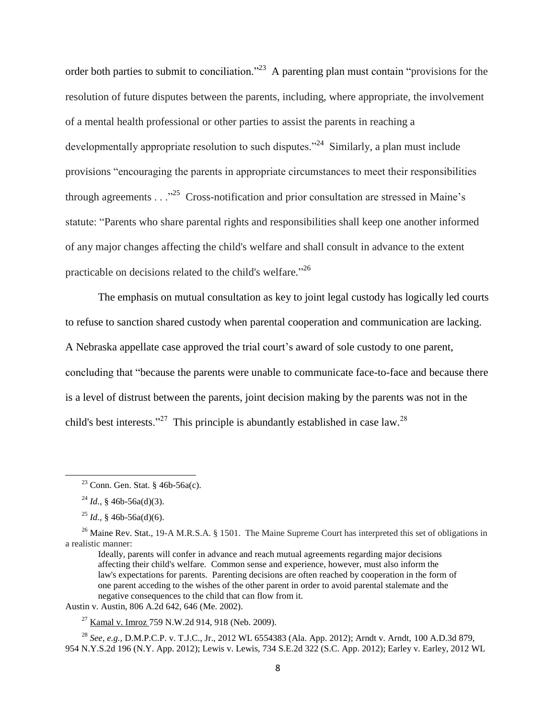order both parties to submit to conciliation."<sup>23</sup> A parenting plan must contain "provisions for the resolution of future disputes between the parents, including, where appropriate, the involvement of a mental health professional or other parties to assist the parents in reaching a developmentally appropriate resolution to such disputes."<sup>24</sup> Similarly, a plan must include provisions "encouraging the parents in appropriate circumstances to meet their responsibilities through agreements  $\ldots$ <sup>25</sup> Cross-notification and prior consultation are stressed in Maine's statute: "Parents who share parental rights and responsibilities shall keep one another informed of any major changes affecting the child's welfare and shall consult in advance to the extent practicable on decisions related to the child's welfare."<sup>26</sup>

The emphasis on mutual consultation as key to joint legal custody has logically led courts to refuse to sanction shared custody when parental cooperation and communication are lacking. A Nebraska appellate case approved the trial court's award of sole custody to one parent, concluding that "because the parents were unable to communicate face-to-face and because there is a level of distrust between the parents, joint decision making by the parents was not in the child's best interests."<sup>27</sup> This principle is abundantly established in case law.<sup>28</sup>

l

Austin v. Austin, 806 A.2d 642, 646 (Me. 2002).

 $27$  Kamal v. Imroz 759 N.W.2d 914, 918 (Neb. 2009).

<sup>28</sup> *See, e.g.,* D.M.P.C.P. v. T.J.C., Jr., 2012 WL 6554383 (Ala. App. 2012); Arndt v. Arndt, 100 A.D.3d 879, 954 N.Y.S.2d 196 (N.Y. App. 2012); Lewis v. Lewis, 734 S.E.2d 322 (S.C. App. 2012); Earley v. Earley, 2012 WL

<sup>&</sup>lt;sup>23</sup> Conn. Gen. Stat. §  $46b-56a(c)$ .

 $^{24}$  *Id.*, § 46b-56a(d)(3).

 $^{25}$  *Id.*, § 46b-56a(d)(6).

<sup>&</sup>lt;sup>26</sup> Maine Rev. Stat., 19-A M.R.S.A. § 1501. The Maine Supreme Court has interpreted this set of obligations in a realistic manner:

Ideally, parents will confer in advance and reach mutual agreements regarding major decisions affecting their child's welfare. Common sense and experience, however, must also inform the law's expectations for parents. Parenting decisions are often reached by cooperation in the form of one parent acceding to the wishes of the other parent in order to avoid parental stalemate and the negative consequences to the child that can flow from it.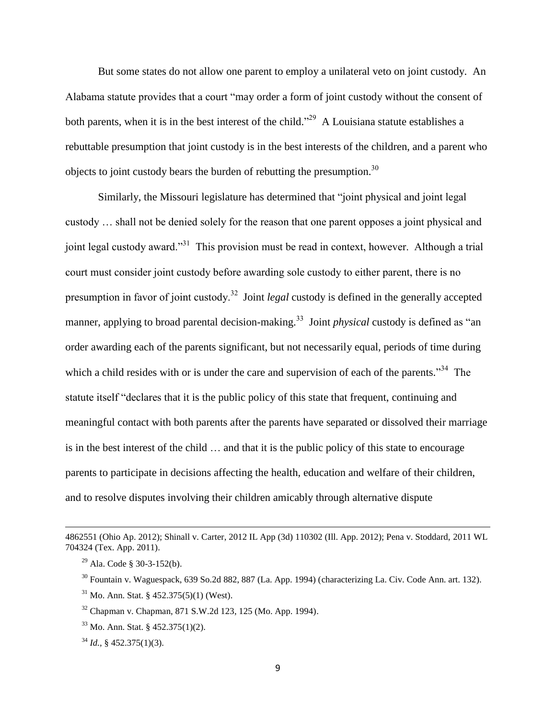But some states do not allow one parent to employ a unilateral veto on joint custody. An Alabama statute provides that a court "may order a form of joint custody without the consent of both parents, when it is in the best interest of the child.<sup>"29</sup> A Louisiana statute establishes a rebuttable presumption that joint custody is in the best interests of the children, and a parent who objects to joint custody bears the burden of rebutting the presumption.<sup>30</sup>

Similarly, the Missouri legislature has determined that "joint physical and joint legal custody … shall not be denied solely for the reason that one parent opposes a joint physical and joint legal custody award."<sup>31</sup> This provision must be read in context, however. Although a trial court must consider joint custody before awarding sole custody to either parent, there is no presumption in favor of joint custody.<sup>32</sup> Joint *legal* custody is defined in the generally accepted manner, applying to broad parental decision-making.<sup>33</sup> Joint *physical* custody is defined as "an order awarding each of the parents significant, but not necessarily equal, periods of time during which a child resides with or is under the care and supervision of each of the parents."<sup>34</sup> The statute itself "declares that it is the public policy of this state that frequent, continuing and meaningful contact with both parents after the parents have separated or dissolved their marriage is in the best interest of the child … and that it is the public policy of this state to encourage parents to participate in decisions affecting the health, education and welfare of their children, and to resolve disputes involving their children amicably through alternative dispute

l

<sup>4862551 (</sup>Ohio Ap. 2012); Shinall v. Carter, 2012 IL App (3d) 110302 (Ill. App. 2012); Pena v. Stoddard, 2011 WL 704324 (Tex. App. 2011).

 $29$  Ala. Code § 30-3-152(b).

<sup>30</sup> Fountain v. Waguespack, 639 So.2d 882, 887 (La. App. 1994) (characterizing La. Civ. Code Ann. art. 132).

 $31$  Mo. Ann. Stat. § 452.375(5)(1) (West).

<sup>32</sup> Chapman v. Chapman, 871 S.W.2d 123, 125 (Mo. App. 1994).

 $33$  Mo. Ann. Stat. § 452.375(1)(2).

<sup>34</sup> *Id.,* § 452.375(1)(3).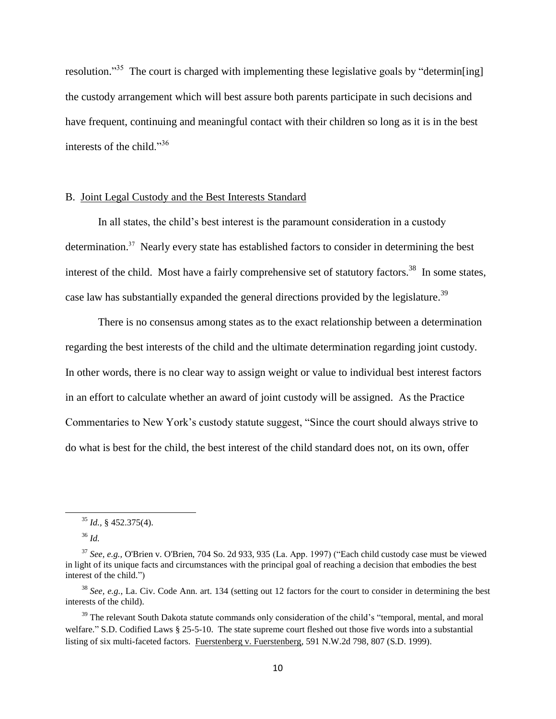resolution."<sup>35</sup> The court is charged with implementing these legislative goals by "determin[ing] the custody arrangement which will best assure both parents participate in such decisions and have frequent, continuing and meaningful contact with their children so long as it is in the best interests of the child."<sup>36</sup>

#### B. Joint Legal Custody and the Best Interests Standard

In all states, the child's best interest is the paramount consideration in a custody determination.<sup>37</sup> Nearly every state has established factors to consider in determining the best interest of the child. Most have a fairly comprehensive set of statutory factors.<sup>38</sup> In some states, case law has substantially expanded the general directions provided by the legislature.<sup>39</sup>

There is no consensus among states as to the exact relationship between a determination regarding the best interests of the child and the ultimate determination regarding joint custody. In other words, there is no clear way to assign weight or value to individual best interest factors in an effort to calculate whether an award of joint custody will be assigned. As the Practice Commentaries to New York's custody statute suggest, "Since the court should always strive to do what is best for the child, the best interest of the child standard does not, on its own, offer

<sup>35</sup> *Id.,* § 452.375(4).

<sup>36</sup> *Id.*

<sup>37</sup> *See, e.g.,* O'Brien v. O'Brien, 704 So. 2d 933, 935 (La. App. 1997) ("Each child custody case must be viewed in light of its unique facts and circumstances with the principal goal of reaching a decision that embodies the best interest of the child.")

<sup>38</sup> *See, e.g.*, La. Civ. Code Ann. art. 134 (setting out 12 factors for the court to consider in determining the best interests of the child).

<sup>&</sup>lt;sup>39</sup> The relevant South Dakota statute commands only consideration of the child's "temporal, mental, and moral welfare." S.D. Codified Laws § 25-5-10. The state supreme court fleshed out those five words into a substantial listing of six multi-faceted factors. Fuerstenberg v. Fuerstenberg, 591 N.W.2d 798, 807 (S.D. 1999).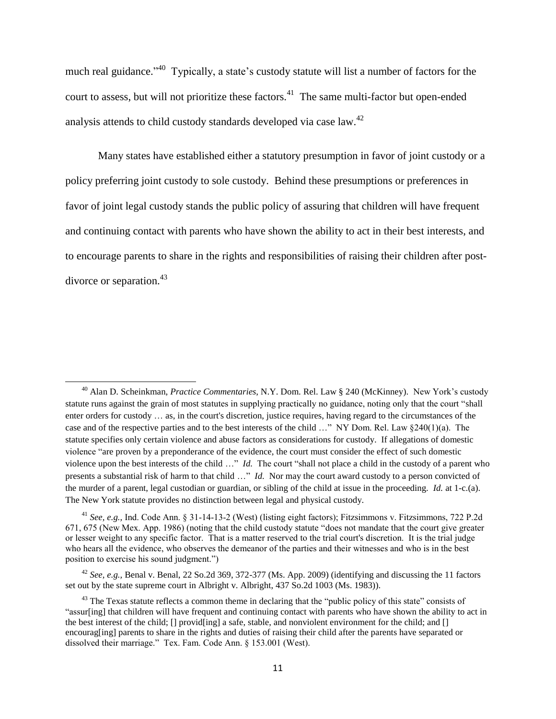much real guidance."<sup>40</sup> Typically, a state's custody statute will list a number of factors for the court to assess, but will not prioritize these factors.<sup>41</sup> The same multi-factor but open-ended analysis attends to child custody standards developed via case law.<sup>42</sup>

Many states have established either a statutory presumption in favor of joint custody or a policy preferring joint custody to sole custody. Behind these presumptions or preferences in favor of joint legal custody stands the public policy of assuring that children will have frequent and continuing contact with parents who have shown the ability to act in their best interests, and to encourage parents to share in the rights and responsibilities of raising their children after postdivorce or separation.<sup>43</sup>

 $\overline{a}$ 

<sup>42</sup> *See, e.g.,* Benal v. Benal, 22 So.2d 369, 372-377 (Ms. App. 2009) (identifying and discussing the 11 factors set out by the state supreme court in Albright v. Albright, 437 So.2d 1003 (Ms. 1983)).

<sup>40</sup> Alan D. Scheinkman, *Practice Commentaries*, N.Y. Dom. Rel. Law § 240 (McKinney). New York's custody statute runs against the grain of most statutes in supplying practically no guidance, noting only that the court "shall enter orders for custody … as, in the court's discretion, justice requires, having regard to the circumstances of the case and of the respective parties and to the best interests of the child …" NY Dom. Rel. Law §240(1)(a). The statute specifies only certain violence and abuse factors as considerations for custody. If allegations of domestic violence "are proven by a preponderance of the evidence, the court must consider the effect of such domestic violence upon the best interests of the child …" *Id.* The court "shall not place a child in the custody of a parent who presents a substantial risk of harm to that child …" *Id.* Nor may the court award custody to a person convicted of the murder of a parent, legal custodian or guardian, or sibling of the child at issue in the proceeding. *Id.* at 1-c.(a). The New York statute provides no distinction between legal and physical custody.

<sup>41</sup> *See, e.g.,* Ind. Code Ann. § 31-14-13-2 (West) (listing eight factors); Fitzsimmons v. Fitzsimmons, 722 P.2d 671, 675 (New Mex. App. 1986) (noting that the child custody statute "does not mandate that the court give greater or lesser weight to any specific factor. That is a matter reserved to the trial court's discretion. It is the trial judge who hears all the evidence, who observes the demeanor of the parties and their witnesses and who is in the best position to exercise his sound judgment.")

<sup>&</sup>lt;sup>43</sup> The Texas statute reflects a common theme in declaring that the "public policy of this state" consists of "assur[ing] that children will have frequent and continuing contact with parents who have shown the ability to act in the best interest of the child; [] provid[ing] a safe, stable, and nonviolent environment for the child; and [] encourag[ing] parents to share in the rights and duties of raising their child after the parents have separated or dissolved their marriage." Tex. Fam. Code Ann. § 153.001 (West).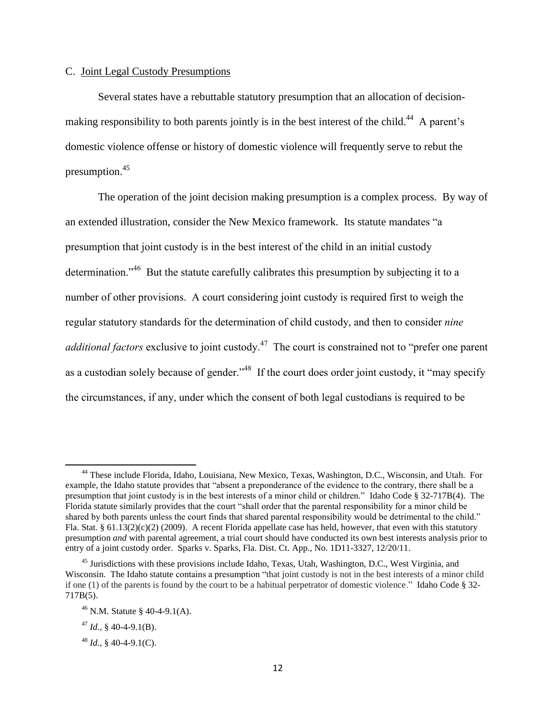#### C. Joint Legal Custody Presumptions

Several states have a rebuttable statutory presumption that an allocation of decisionmaking responsibility to both parents jointly is in the best interest of the child.<sup>44</sup> A parent's domestic violence offense or history of domestic violence will frequently serve to rebut the presumption.<sup>45</sup>

The operation of the joint decision making presumption is a complex process. By way of an extended illustration, consider the New Mexico framework. Its statute mandates "a presumption that joint custody is in the best interest of the child in an initial custody determination."<sup>46</sup> But the statute carefully calibrates this presumption by subjecting it to a number of other provisions. A court considering joint custody is required first to weigh the regular statutory standards for the determination of child custody, and then to consider *nine additional factors* exclusive to joint custody.<sup>47</sup> The court is constrained not to "prefer one parent" as a custodian solely because of gender."<sup>48</sup> If the court does order joint custody, it "may specify the circumstances, if any, under which the consent of both legal custodians is required to be

<sup>44</sup> These include Florida, Idaho, Louisiana, New Mexico, Texas, Washington, D.C., Wisconsin, and Utah. For example, the Idaho statute provides that "absent a preponderance of the evidence to the contrary, there shall be a presumption that joint custody is in the best interests of a minor child or children." Idaho Code § 32-717B(4). The Florida statute similarly provides that the court "shall order that the parental responsibility for a minor child be shared by both parents unless the court finds that shared parental responsibility would be detrimental to the child." Fla. Stat. § 61.13(2)(c)(2) (2009). A recent Florida appellate case has held, however, that even with this statutory presumption *and* with parental agreement, a trial court should have conducted its own best interests analysis prior to entry of a joint custody order. Sparks v. Sparks, Fla. Dist. Ct. App., No. 1D11-3327, 12/20/11.

 $45$  Jurisdictions with these provisions include Idaho, Texas, Utah, Washington, D.C., West Virginia, and Wisconsin. The Idaho statute contains a presumption "that joint custody is not in the best interests of a minor child if one (1) of the parents is found by the court to be a habitual perpetrator of domestic violence." Idaho Code § 32- 717B(5).

<sup>46</sup> N.M. Statute § 40-4-9.1(A).

 $^{47}$  *Id.*, § 40-4-9.1(B).

<sup>48</sup> *Id.,* § 40-4-9.1(C).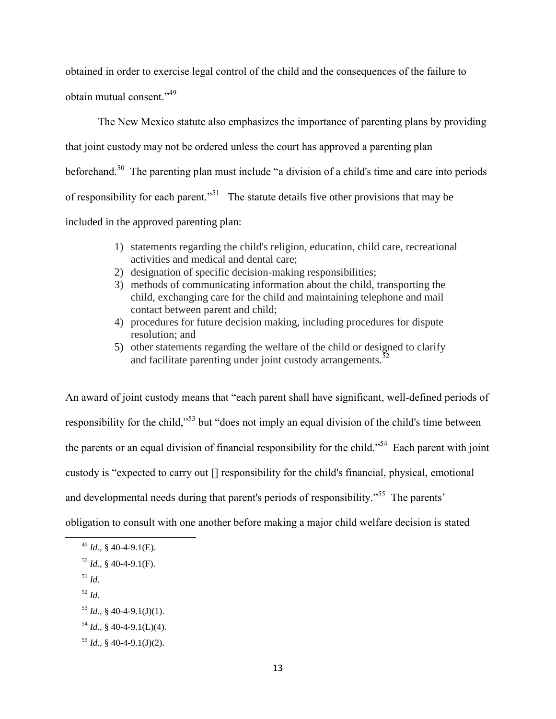obtained in order to exercise legal control of the child and the consequences of the failure to obtain mutual consent."<sup>49</sup>

The New Mexico statute also emphasizes the importance of parenting plans by providing that joint custody may not be ordered unless the court has approved a parenting plan beforehand.<sup>50</sup> The parenting plan must include "a division of a child's time and care into periods of responsibility for each parent."<sup>51</sup> The statute details five other provisions that may be included in the approved parenting plan:

- 1) statements regarding the child's religion, education, child care, recreational activities and medical and dental care;
- 2) designation of specific decision-making responsibilities;
- 3) methods of communicating information about the child, transporting the child, exchanging care for the child and maintaining telephone and mail contact between parent and child;
- 4) procedures for future decision making, including procedures for dispute resolution; and
- 5) other statements regarding the welfare of the child or designed to clarify and facilitate parenting under joint custody arrangements.<sup>52</sup>

An award of joint custody means that "each parent shall have significant, well-defined periods of responsibility for the child,"<sup>53</sup> but "does not imply an equal division of the child's time between the parents or an equal division of financial responsibility for the child."<sup>54</sup> Each parent with joint custody is "expected to carry out [] responsibility for the child's financial, physical, emotional and developmental needs during that parent's periods of responsibility."<sup>55</sup> The parents' obligation to consult with one another before making a major child welfare decision is stated

<sup>51</sup> *Id.*

 $\overline{a}$ 

<sup>52</sup> *Id.*

 $^{54}$  *Id.*, § 40-4-9.1(L)(4).

<sup>49</sup> *Id.,* § 40-4-9.1(E).

 $^{50}$  *Id.*, § 40-4-9.1(F).

 $^{53}$  *Id.*, § 40-4-9.1(J)(1).

 $^{55}$  *Id.*, § 40-4-9.1(J)(2).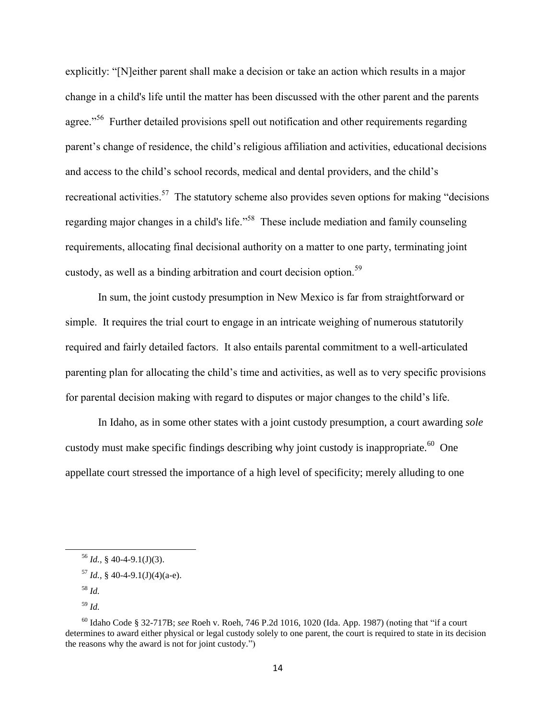explicitly: "[N]either parent shall make a decision or take an action which results in a major change in a child's life until the matter has been discussed with the other parent and the parents agree."<sup>56</sup> Further detailed provisions spell out notification and other requirements regarding parent's change of residence, the child's religious affiliation and activities, educational decisions and access to the child's school records, medical and dental providers, and the child's recreational activities.<sup>57</sup> The statutory scheme also provides seven options for making "decisions" regarding major changes in a child's life."<sup>58</sup> These include mediation and family counseling requirements, allocating final decisional authority on a matter to one party, terminating joint custody, as well as a binding arbitration and court decision option.<sup>59</sup>

In sum, the joint custody presumption in New Mexico is far from straightforward or simple. It requires the trial court to engage in an intricate weighing of numerous statutorily required and fairly detailed factors. It also entails parental commitment to a well-articulated parenting plan for allocating the child's time and activities, as well as to very specific provisions for parental decision making with regard to disputes or major changes to the child's life.

In Idaho, as in some other states with a joint custody presumption, a court awarding *sole* custody must make specific findings describing why joint custody is inappropriate.<sup>60</sup> One appellate court stressed the importance of a high level of specificity; merely alluding to one

 $56$  *Id.*, § 40-4-9.1(J)(3).

 $^{57}$  *Id.*, § 40-4-9.1(J)(4)(a-e).

<sup>58</sup> *Id.*

<sup>59</sup> *Id.*

<sup>60</sup> Idaho Code § 32-717B; *see* Roeh v. Roeh, 746 P.2d 1016, 1020 (Ida. App. 1987) (noting that "if a court determines to award either physical or legal custody solely to one parent, the court is required to state in its decision the reasons why the award is not for joint custody.")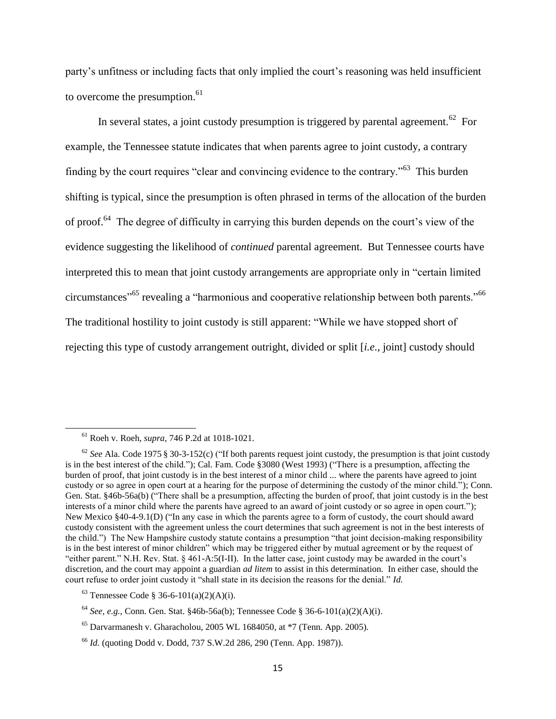party's unfitness or including facts that only implied the court's reasoning was held insufficient to overcome the presumption. $61$ 

In several states, a joint custody presumption is triggered by parental agreement.<sup>62</sup> For example, the Tennessee statute indicates that when parents agree to joint custody, a contrary finding by the court requires "clear and convincing evidence to the contrary."<sup>63</sup> This burden shifting is typical, since the presumption is often phrased in terms of the allocation of the burden of proof.<sup>64</sup> The degree of difficulty in carrying this burden depends on the court's view of the evidence suggesting the likelihood of *continued* parental agreement. But Tennessee courts have interpreted this to mean that joint custody arrangements are appropriate only in "certain limited circumstances<sup>"65</sup> revealing a "harmonious and cooperative relationship between both parents."<sup>66</sup> The traditional hostility to joint custody is still apparent: "While we have stopped short of rejecting this type of custody arrangement outright, divided or split [*i.e.*, joint] custody should

<sup>61</sup> Roeh v. Roeh, *supra*, 746 P.2d at 1018-1021.

<sup>62</sup> *See* Ala. Code 1975 § 30-3-152(c) ("If both parents request joint custody, the presumption is that joint custody is in the best interest of the child."); Cal. Fam. Code §3080 (West 1993) ("There is a presumption, affecting the burden of proof, that joint custody is in the best interest of a minor child ... where the parents have agreed to joint custody or so agree in open court at a hearing for the purpose of determining the custody of the minor child."); Conn. Gen. Stat. §46b-56a(b) ("There shall be a presumption, affecting the burden of proof, that joint custody is in the best interests of a minor child where the parents have agreed to an award of joint custody or so agree in open court."); New Mexico §40-4-9.1(D) ("In any case in which the parents agree to a form of custody, the court should award custody consistent with the agreement unless the court determines that such agreement is not in the best interests of the child.") The New Hampshire custody statute contains a presumption "that joint decision-making responsibility is in the best interest of minor children" which may be triggered either by mutual agreement or by the request of "either parent." N.H. Rev. Stat. § 461-A:5(I-II). In the latter case, joint custody may be awarded in the court's discretion, and the court may appoint a guardian *ad litem* to assist in this determination. In either case, should the court refuse to order joint custody it "shall state in its decision the reasons for the denial." *Id.*

<sup>&</sup>lt;sup>63</sup> Tennessee Code § 36-6-101(a)(2)(A)(i).

<sup>64</sup> *See, e.g.,* Conn. Gen. Stat. §46b-56a(b); Tennessee Code § 36-6-101(a)(2)(A)(i).

 $65$  Darvarmanesh v. Gharacholou, 2005 WL 1684050, at  $*7$  (Tenn. App. 2005).

<sup>66</sup> *Id.* (quoting Dodd v. Dodd, 737 S.W.2d 286, 290 (Tenn. App. 1987)).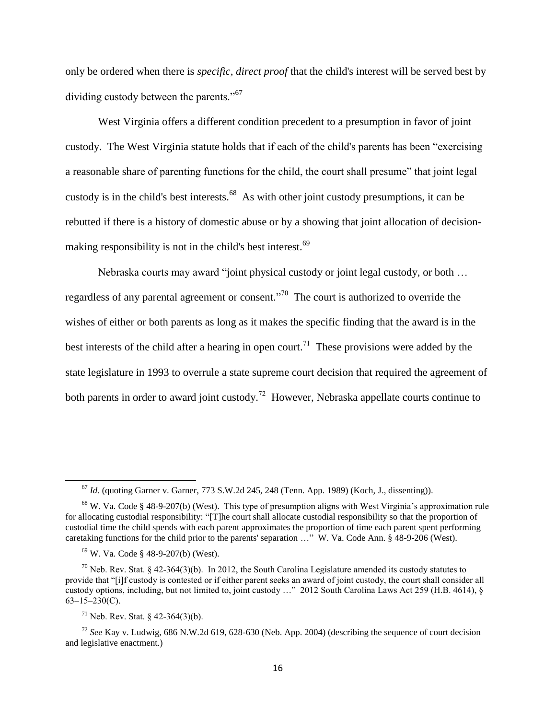only be ordered when there is *specific, direct proof* that the child's interest will be served best by dividing custody between the parents."<sup>67</sup>

West Virginia offers a different condition precedent to a presumption in favor of joint custody. The West Virginia statute holds that if each of the child's parents has been "exercising a reasonable share of parenting functions for the child, the court shall presume" that joint legal custody is in the child's best interests.<sup>68</sup> As with other joint custody presumptions, it can be rebutted if there is a history of domestic abuse or by a showing that joint allocation of decisionmaking responsibility is not in the child's best interest.<sup>69</sup>

Nebraska courts may award "joint physical custody or joint legal custody, or both … regardless of any parental agreement or consent.<sup> $n^{70}$ </sup> The court is authorized to override the wishes of either or both parents as long as it makes the specific finding that the award is in the best interests of the child after a hearing in open court.<sup>71</sup> These provisions were added by the state legislature in 1993 to overrule a state supreme court decision that required the agreement of both parents in order to award joint custody.<sup>72</sup> However, Nebraska appellate courts continue to

<sup>67</sup> *Id.* (quoting Garner v. Garner, 773 S.W.2d 245, 248 (Tenn. App. 1989) (Koch, J., dissenting)).

<sup>68</sup> W. Va. Code § 48-9-207(b) (West). This type of presumption aligns with West Virginia's approximation rule for allocating custodial responsibility: "[T]he court shall allocate custodial responsibility so that the proportion of custodial time the child spends with each parent approximates the proportion of time each parent spent performing caretaking functions for the child prior to the parents' separation …" W. Va. Code Ann. § 48-9-206 (West).

<sup>69</sup> W. Va. Code § 48-9-207(b) (West).

<sup>&</sup>lt;sup>70</sup> Neb. Rev. Stat. § 42-364(3)(b). In 2012, the South Carolina Legislature amended its custody statutes to provide that "[i]f custody is contested or if either parent seeks an award of joint custody, the court shall consider all custody options, including, but not limited to, joint custody …" 2012 South Carolina Laws Act 259 (H.B. 4614), §  $63-15-230(C)$ .

 $71$  Neb. Rev. Stat. § 42-364(3)(b).

<sup>72</sup> *See* Kay v. Ludwig, 686 N.W.2d 619, 628-630 (Neb. App. 2004) (describing the sequence of court decision and legislative enactment.)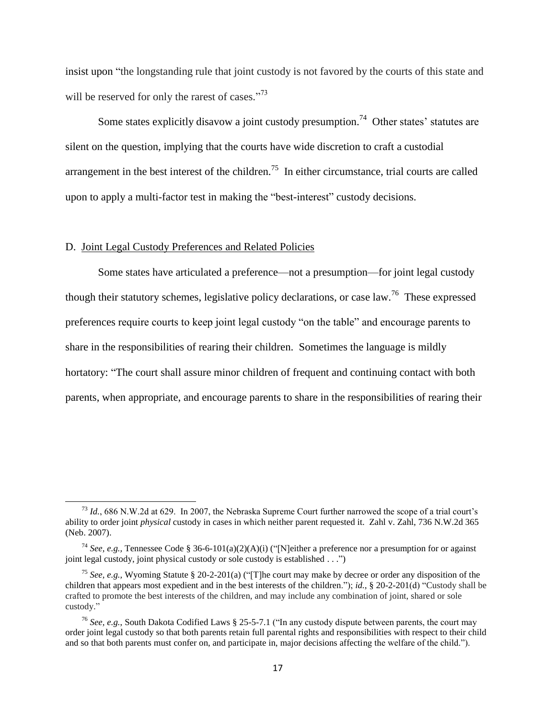insist upon "the longstanding rule that joint custody is not favored by the courts of this state and will be reserved for only the rarest of cases."<sup>73</sup>

Some states explicitly disavow a joint custody presumption.<sup>74</sup> Other states' statutes are silent on the question, implying that the courts have wide discretion to craft a custodial arrangement in the best interest of the children.<sup>75</sup> In either circumstance, trial courts are called upon to apply a multi-factor test in making the "best-interest" custody decisions.

#### D. Joint Legal Custody Preferences and Related Policies

 $\overline{a}$ 

Some states have articulated a preference—not a presumption—for joint legal custody though their statutory schemes, legislative policy declarations, or case law.<sup>76</sup> These expressed preferences require courts to keep joint legal custody "on the table" and encourage parents to share in the responsibilities of rearing their children. Sometimes the language is mildly hortatory: "The court shall assure minor children of frequent and continuing contact with both parents, when appropriate, and encourage parents to share in the responsibilities of rearing their

<sup>73</sup> *Id.*, 686 N.W.2d at 629. In 2007, the Nebraska Supreme Court further narrowed the scope of a trial court's ability to order joint *physical* custody in cases in which neither parent requested it. Zahl v. Zahl, 736 N.W.2d 365 (Neb. 2007).

<sup>74</sup> *See, e.g.,* Tennessee Code § 36-6-101(a)(2)(A)(i) ("[N]either a preference nor a presumption for or against joint legal custody, joint physical custody or sole custody is established . . .")

<sup>75</sup> *See, e.g.,* Wyoming Statute § 20-2-201(a) ("[T]he court may make by decree or order any disposition of the children that appears most expedient and in the best interests of the children."); *id.*, § 20-2-201(d) "Custody shall be crafted to promote the best interests of the children, and may include any combination of joint, shared or sole custody."

<sup>76</sup> *See, e.g.*, South Dakota Codified Laws § 25-5-7.1 ("In any custody dispute between parents, the court may order joint legal custody so that both parents retain full parental rights and responsibilities with respect to their child and so that both parents must confer on, and participate in, major decisions affecting the welfare of the child.").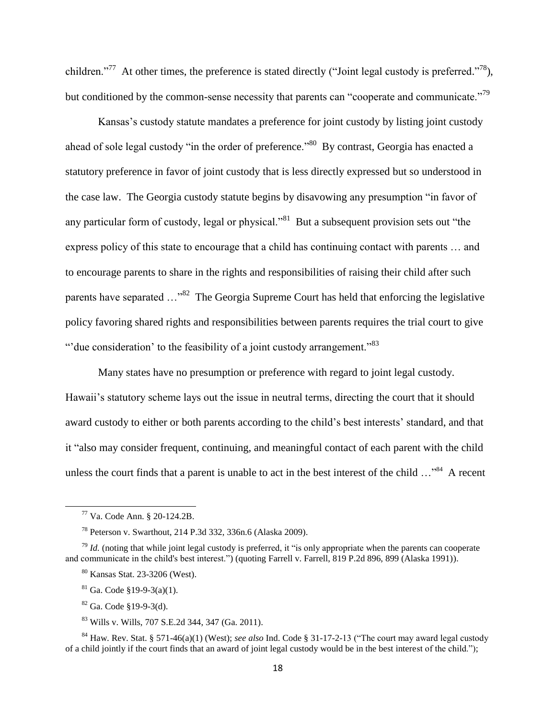children."<sup>77</sup> At other times, the preference is stated directly ("Joint legal custody is preferred."<sup>78</sup>), but conditioned by the common-sense necessity that parents can "cooperate and communicate."<sup>79</sup>

Kansas's custody statute mandates a preference for joint custody by listing joint custody ahead of sole legal custody "in the order of preference."<sup>80</sup> By contrast, Georgia has enacted a statutory preference in favor of joint custody that is less directly expressed but so understood in the case law. The Georgia custody statute begins by disavowing any presumption "in favor of any particular form of custody, legal or physical."<sup>81</sup> But a subsequent provision sets out "the express policy of this state to encourage that a child has continuing contact with parents … and to encourage parents to share in the rights and responsibilities of raising their child after such parents have separated  $\ldots$ <sup>82</sup> The Georgia Supreme Court has held that enforcing the legislative policy favoring shared rights and responsibilities between parents requires the trial court to give "' due consideration' to the feasibility of a joint custody arrangement."<sup>83</sup>

Many states have no presumption or preference with regard to joint legal custody. Hawaii's statutory scheme lays out the issue in neutral terms, directing the court that it should award custody to either or both parents according to the child's best interests' standard, and that it "also may consider frequent, continuing, and meaningful contact of each parent with the child unless the court finds that a parent is unable to act in the best interest of the child  $\ldots$ <sup>84</sup>. A recent

 $\overline{a}$ 

<sup>84</sup> Haw. Rev. Stat. § 571-46(a)(1) (West); *see also* Ind. Code § 31-17-2-13 ("The court may award legal custody of a child jointly if the court finds that an award of joint legal custody would be in the best interest of the child.");

<sup>77</sup> Va. Code Ann. § 20-124.2B.

<sup>78</sup> Peterson v. Swarthout, 214 P.3d 332, 336n.6 (Alaska 2009).

 $79$  *Id.* (noting that while joint legal custody is preferred, it "is only appropriate when the parents can cooperate and communicate in the child's best interest.") (quoting Farrell v. Farrell, 819 P.2d 896, 899 (Alaska 1991)).

<sup>80</sup> Kansas Stat. 23-3206 (West).

 $81$  Ga. Code §19-9-3(a)(1).

 $82$  Ga. Code  $$19-9-3(d)$ .

<sup>83</sup> Wills v. Wills, 707 S.E.2d 344, 347 (Ga. 2011).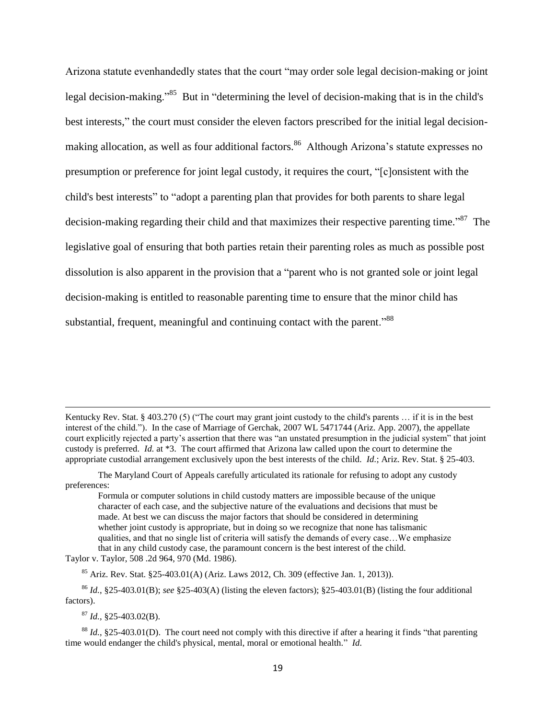Arizona statute evenhandedly states that the court "may order sole legal decision-making or joint legal decision-making."<sup>85</sup> But in "determining the level of decision-making that is in the child's best interests," the court must consider the eleven factors prescribed for the initial legal decisionmaking allocation, as well as four additional factors.<sup>86</sup> Although Arizona's statute expresses no presumption or preference for joint legal custody, it requires the court, "[c]onsistent with the child's best interests" to "adopt a parenting plan that provides for both parents to share legal decision-making regarding their child and that maximizes their respective parenting time."<sup>87</sup> The legislative goal of ensuring that both parties retain their parenting roles as much as possible post dissolution is also apparent in the provision that a "parent who is not granted sole or joint legal decision-making is entitled to reasonable parenting time to ensure that the minor child has substantial, frequent, meaningful and continuing contact with the parent.<sup>788</sup>

Kentucky Rev. Stat. § 403.270 (5) ("The court may grant joint custody to the child's parents … if it is in the best interest of the child."). In the case of Marriage of Gerchak, 2007 WL 5471744 (Ariz. App. 2007), the appellate court explicitly rejected a party's assertion that there was "an unstated presumption in the judicial system" that joint custody is preferred. *Id.* at \*3. The court affirmed that Arizona law called upon the court to determine the appropriate custodial arrangement exclusively upon the best interests of the child. *Id.*; Ariz. Rev. Stat. § 25-403.

 $^{87}$  *Id.*,  $$25-403.02$ (B).

l

The Maryland Court of Appeals carefully articulated its rationale for refusing to adopt any custody preferences:

Formula or computer solutions in child custody matters are impossible because of the unique character of each case, and the subjective nature of the evaluations and decisions that must be made. At best we can discuss the major factors that should be considered in determining whether joint custody is appropriate, but in doing so we recognize that none has talismanic qualities, and that no single list of criteria will satisfy the demands of every case…We emphasize that in any child custody case, the paramount concern is the best interest of the child.

Taylor v. Taylor, 508 .2d 964, 970 (Md. 1986).

 $85$  Ariz. Rev. Stat. §25-403.01(A) (Ariz. Laws 2012, Ch. 309 (effective Jan. 1, 2013)).

<sup>86</sup> *Id.*, §25-403.01(B); *see* §25-403(A) (listing the eleven factors); §25-403.01(B) (listing the four additional factors).

<sup>88</sup> *Id.*, §25-403.01(D). The court need not comply with this directive if after a hearing it finds "that parenting time would endanger the child's physical, mental, moral or emotional health." *Id.*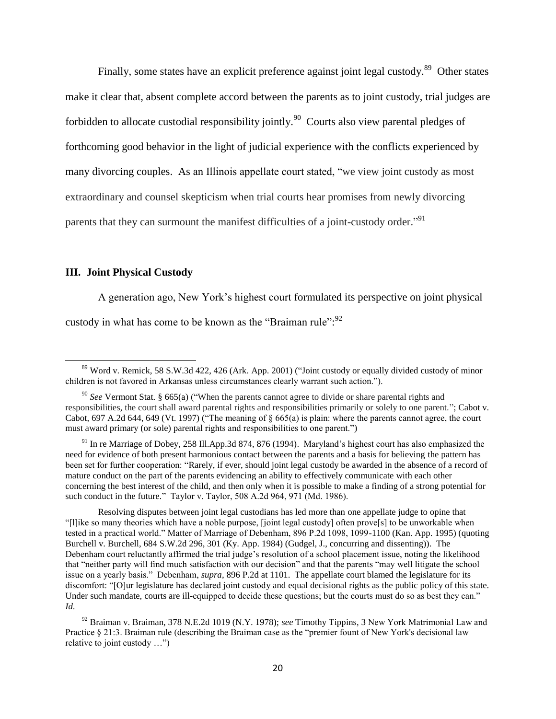Finally, some states have an explicit preference against joint legal custody.<sup>89</sup> Other states make it clear that, absent complete accord between the parents as to joint custody, trial judges are forbidden to allocate custodial responsibility jointly.<sup>90</sup> Courts also view parental pledges of forthcoming good behavior in the light of judicial experience with the conflicts experienced by many divorcing couples. As an Illinois appellate court stated, "we view joint custody as most extraordinary and counsel skepticism when trial courts hear promises from newly divorcing parents that they can surmount the manifest difficulties of a joint-custody order."<sup>91</sup>

#### **III. Joint Physical Custody**

 $\overline{a}$ 

A generation ago, New York's highest court formulated its perspective on joint physical custody in what has come to be known as the "Braiman rule":  $92$ 

<sup>&</sup>lt;sup>89</sup> Word v. Remick, 58 S.W.3d 422, 426 (Ark. App. 2001) ("Joint custody or equally divided custody of minor children is not favored in Arkansas unless circumstances clearly warrant such action.").

<sup>90</sup> *See* Vermont Stat. § 665(a) ("When the parents cannot agree to divide or share parental rights and responsibilities, the court shall award parental rights and responsibilities primarily or solely to one parent."; Cabot v. Cabot, 697 A.2d 644, 649 (Vt. 1997) ("The meaning of § 665(a) is plain: where the parents cannot agree, the court must award primary (or sole) parental rights and responsibilities to one parent.")

<sup>&</sup>lt;sup>91</sup> In re Marriage of Dobey, 258 Ill.App.3d 874, 876 (1994). Maryland's highest court has also emphasized the need for evidence of both present harmonious contact between the parents and a basis for believing the pattern has been set for further cooperation: "Rarely, if ever, should joint legal custody be awarded in the absence of a record of mature conduct on the part of the parents evidencing an ability to effectively communicate with each other concerning the best interest of the child, and then only when it is possible to make a finding of a strong potential for such conduct in the future." Taylor v. Taylor, 508 A.2d 964, 971 (Md. 1986).

Resolving disputes between joint legal custodians has led more than one appellate judge to opine that "[l]ike so many theories which have a noble purpose, [joint legal custody] often prove[s] to be unworkable when tested in a practical world." Matter of Marriage of Debenham, 896 P.2d 1098, 1099-1100 (Kan. App. 1995) (quoting Burchell v. Burchell, 684 S.W.2d 296, 301 (Ky. App. 1984) (Gudgel, J., concurring and dissenting)). The Debenham court reluctantly affirmed the trial judge's resolution of a school placement issue, noting the likelihood that "neither party will find much satisfaction with our decision" and that the parents "may well litigate the school issue on a yearly basis." Debenham, *supra*, 896 P.2d at 1101. The appellate court blamed the legislature for its discomfort: "[O]ur legislature has declared joint custody and equal decisional rights as the public policy of this state. Under such mandate, courts are ill-equipped to decide these questions; but the courts must do so as best they can." *Id.*

<sup>92</sup> Braiman v. Braiman, 378 N.E.2d 1019 (N.Y. 1978); *see* Timothy Tippins, 3 New York Matrimonial Law and Practice § 21:3. Braiman rule (describing the Braiman case as the "premier fount of New York's decisional law relative to joint custody …")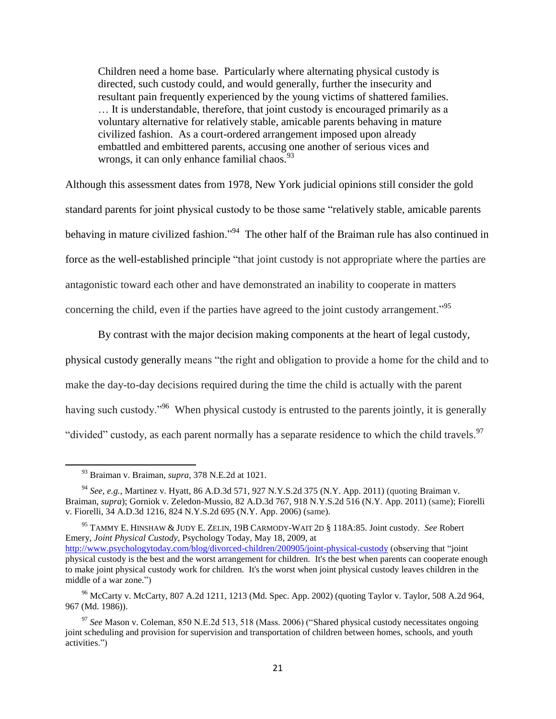Children need a home base. Particularly where alternating physical custody is directed, such custody could, and would generally, further the insecurity and resultant pain frequently experienced by the young victims of shattered families. … It is understandable, therefore, that joint custody is encouraged primarily as a voluntary alternative for relatively stable, amicable parents behaving in mature civilized fashion. As a court-ordered arrangement imposed upon already embattled and embittered parents, accusing one another of serious vices and wrongs, it can only enhance familial chaos.  $93$ 

Although this assessment dates from 1978, New York judicial opinions still consider the gold standard parents for joint physical custody to be those same "relatively stable, amicable parents behaving in mature civilized fashion."<sup>94</sup> The other half of the Braiman rule has also continued in force as the well-established principle "that joint custody is not appropriate where the parties are antagonistic toward each other and have demonstrated an inability to cooperate in matters concerning the child, even if the parties have agreed to the joint custody arrangement."<sup>95</sup>

By contrast with the major decision making components at the heart of legal custody, physical custody generally means "the right and obligation to provide a home for the child and to make the day-to-day decisions required during the time the child is actually with the parent having such custody."<sup>96</sup> When physical custody is entrusted to the parents jointly, it is generally "divided" custody, as each parent normally has a separate residence to which the child travels.<sup>97</sup>

<sup>93</sup> Braiman v. Braiman, *supra*, 378 N.E.2d at 1021.

<sup>94</sup> *See, e.g.,* Martinez v. Hyatt, 86 A.D.3d 571, 927 N.Y.S.2d 375 (N.Y. App. 2011) (quoting Braiman v. Braiman, *supra*); Gorniok v. Zeledon-Mussio, 82 A.D.3d 767, 918 N.Y.S.2d 516 (N.Y. App. 2011) (same); Fiorelli v. Fiorelli, 34 A.D.3d 1216, 824 N.Y.S.2d 695 (N.Y. App. 2006) (same).

<sup>95</sup> TAMMY E. HINSHAW & JUDY E. ZELIN, 19B CARMODY-WAIT 2<sup>D</sup> § 118A:85. Joint custody. *See* Robert Emery, *Joint Physical Custody*, Psychology Today, May 18, 2009, at <http://www.psychologytoday.com/blog/divorced-children/200905/joint-physical-custody> (observing that "joint physical custody is the best and the worst arrangement for children. It's the best when parents can cooperate enough to make joint physical custody work for children. It's the worst when joint physical custody leaves children in the middle of a war zone.")

<sup>96</sup> McCarty v. McCarty, 807 A.2d 1211, 1213 (Md. Spec. App. 2002) (quoting Taylor v. Taylor, 508 A.2d 964, 967 (Md. 1986)).

<sup>97</sup> *See* Mason v. Coleman, 850 N.E.2d 513, 518 (Mass. 2006) ("Shared physical custody necessitates ongoing joint scheduling and provision for supervision and transportation of children between homes, schools, and youth activities.")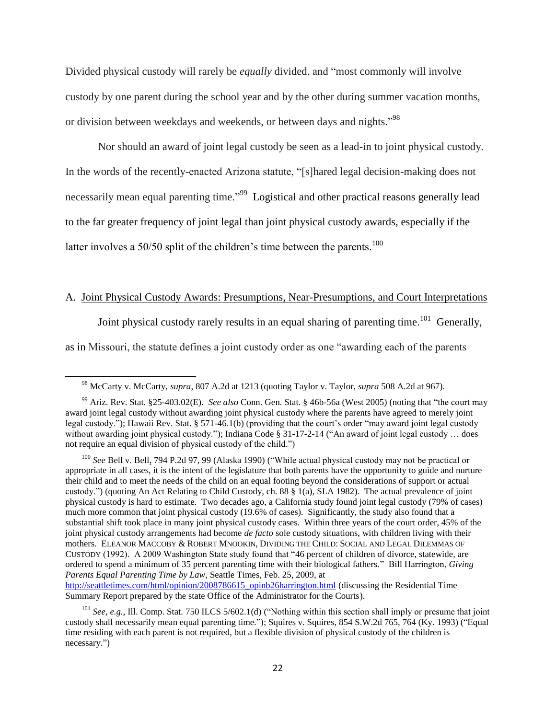Divided physical custody will rarely be *equally* divided, and "most commonly will involve custody by one parent during the school year and by the other during summer vacation months, or division between weekdays and weekends, or between days and nights."<sup>98</sup>

Nor should an award of joint legal custody be seen as a lead-in to joint physical custody. In the words of the recently-enacted Arizona statute, "[s]hared legal decision-making does not necessarily mean equal parenting time."<sup>99</sup> Logistical and other practical reasons generally lead to the far greater frequency of joint legal than joint physical custody awards, especially if the latter involves a  $50/50$  split of the children's time between the parents.<sup>100</sup>

#### A. Joint Physical Custody Awards: Presumptions, Near-Presumptions, and Court Interpretations

Joint physical custody rarely results in an equal sharing of parenting time.<sup>101</sup> Generally,

as in Missouri, the statute defines a joint custody order as one "awarding each of the parents

 $\overline{a}$ 

Summary Report prepared by the state Office of the Administrator for the Courts).

<sup>98</sup> McCarty v. McCarty, *supra*, 807 A.2d at 1213 (quoting Taylor v. Taylor, *supra* 508 A.2d at 967).

<sup>99</sup> Ariz. Rev. Stat. §25-403.02(E). *See also* Conn. Gen. Stat. § 46b-56a (West 2005) (noting that "the court may award joint legal custody without awarding joint physical custody where the parents have agreed to merely joint legal custody."); Hawaii Rev. Stat. § 571-46.1(b) (providing that the court's order "may award joint legal custody without awarding joint physical custody."); Indiana Code § 31-17-2-14 ("An award of joint legal custody ... does not require an equal division of physical custody of the child.")

<sup>100</sup> *See* Bell v. Bell, 794 P.2d 97, 99 (Alaska 1990) ("While actual physical custody may not be practical or appropriate in all cases, it is the intent of the legislature that both parents have the opportunity to guide and nurture their child and to meet the needs of the child on an equal footing beyond the considerations of support or actual custody.") (quoting An Act Relating to Child Custody, ch. 88 § 1(a), SLA 1982). The actual prevalence of joint physical custody is hard to estimate. Two decades ago, a California study found joint legal custody (79% of cases) much more common that joint physical custody (19.6% of cases). Significantly, the study also found that a substantial shift took place in many joint physical custody cases. Within three years of the court order, 45% of the joint physical custody arrangements had become *de facto* sole custody situations, with children living with their mothers. ELEANOR MACCOBY & ROBERT MNOOKIN, DIVIDING THE CHILD: SOCIAL AND LEGAL DILEMMAS OF CUSTODY (1992). A 2009 Washington State study found that "46 percent of children of divorce, statewide, are ordered to spend a minimum of 35 percent parenting time with their biological fathers." Bill Harrington, *Giving Parents Equal Parenting Time by Law*, Seattle Times, Feb. 25, 2009, at [http://seattletimes.com/html/opinion/2008786615\\_opinb26harrington.html](http://seattletimes.com/html/opinion/2008786615_opinb26harrington.html) (discussing the Residential Time

<sup>101</sup> *See, e.g.,* Ill. Comp. Stat. 750 ILCS 5/602.1(d) ("Nothing within this section shall imply or presume that joint custody shall necessarily mean equal parenting time."); Squires v. Squires, 854 S.W.2d 765, 764 (Ky. 1993) ("Equal time residing with each parent is not required, but a flexible division of physical custody of the children is necessary.")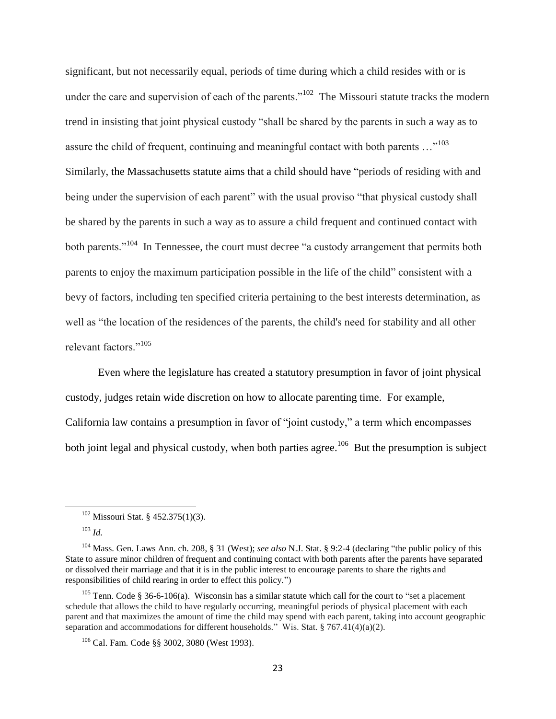significant, but not necessarily equal, periods of time during which a child resides with or is under the care and supervision of each of the parents."<sup>102</sup> The Missouri statute tracks the modern trend in insisting that joint physical custody "shall be shared by the parents in such a way as to assure the child of frequent, continuing and meaningful contact with both parents  $\ldots$ <sup>103</sup> Similarly, the Massachusetts statute aims that a child should have "periods of residing with and being under the supervision of each parent" with the usual proviso "that physical custody shall be shared by the parents in such a way as to assure a child frequent and continued contact with both parents."<sup>104</sup> In Tennessee, the court must decree "a custody arrangement that permits both parents to enjoy the maximum participation possible in the life of the child" consistent with a bevy of factors, including ten specified criteria pertaining to the best interests determination, as well as "the location of the residences of the parents, the child's need for stability and all other relevant factors."<sup>105</sup>

Even where the legislature has created a statutory presumption in favor of joint physical custody, judges retain wide discretion on how to allocate parenting time. For example, California law contains a presumption in favor of "joint custody," a term which encompasses both joint legal and physical custody, when both parties agree.<sup>106</sup> But the presumption is subject

l

<sup>102</sup> Missouri Stat. § 452.375(1)(3).

<sup>103</sup> *Id.*

<sup>104</sup> Mass. Gen. Laws Ann. ch. 208, § 31 (West); *see also* N.J. Stat. § 9:2-4 (declaring "the public policy of this State to assure minor children of frequent and continuing contact with both parents after the parents have separated or dissolved their marriage and that it is in the public interest to encourage parents to share the rights and responsibilities of child rearing in order to effect this policy.")

<sup>&</sup>lt;sup>105</sup> Tenn. Code § 36-6-106(a). Wisconsin has a similar statute which call for the court to "set a placement" schedule that allows the child to have regularly occurring, meaningful periods of physical placement with each parent and that maximizes the amount of time the child may spend with each parent, taking into account geographic separation and accommodations for different households." Wis. Stat. § 767.41(4)(a)(2).

<sup>106</sup> Cal. Fam. Code §§ 3002, 3080 (West 1993).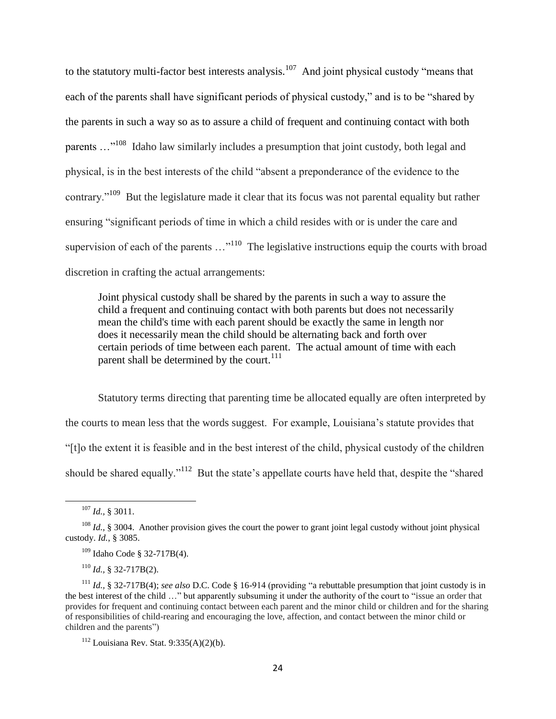to the statutory multi-factor best interests analysis.<sup>107</sup> And joint physical custody "means that each of the parents shall have significant periods of physical custody," and is to be "shared by the parents in such a way so as to assure a child of frequent and continuing contact with both parents ..."<sup>108</sup> Idaho law similarly includes a presumption that joint custody, both legal and physical, is in the best interests of the child "absent a preponderance of the evidence to the contrary."<sup>109</sup> But the legislature made it clear that its focus was not parental equality but rather ensuring "significant periods of time in which a child resides with or is under the care and supervision of each of the parents  $\dots^{110}$  The legislative instructions equip the courts with broad discretion in crafting the actual arrangements:

Joint physical custody shall be shared by the parents in such a way to assure the child a frequent and continuing contact with both parents but does not necessarily mean the child's time with each parent should be exactly the same in length nor does it necessarily mean the child should be alternating back and forth over certain periods of time between each parent. The actual amount of time with each parent shall be determined by the court.<sup>111</sup>

Statutory terms directing that parenting time be allocated equally are often interpreted by the courts to mean less that the words suggest. For example, Louisiana's statute provides that "[t]o the extent it is feasible and in the best interest of the child, physical custody of the children should be shared equally."<sup>112</sup> But the state's appellate courts have held that, despite the "shared"

l

<sup>107</sup> *Id.,* § 3011.

<sup>&</sup>lt;sup>108</sup> *Id.*, § 3004. Another provision gives the court the power to grant joint legal custody without joint physical custody. *Id.*, § 3085.

<sup>109</sup> Idaho Code § 32-717B(4).

<sup>110</sup> *Id.,* § 32-717B(2).

<sup>111</sup> *Id.,* § 32-717B(4); *see also* D.C. Code § 16-914 (providing "a rebuttable presumption that joint custody is in the best interest of the child …" but apparently subsuming it under the authority of the court to "issue an order that provides for frequent and continuing contact between each parent and the minor child or children and for the sharing of responsibilities of child-rearing and encouraging the love, affection, and contact between the minor child or children and the parents")

 $112$  Louisiana Rev. Stat. 9:335(A)(2)(b).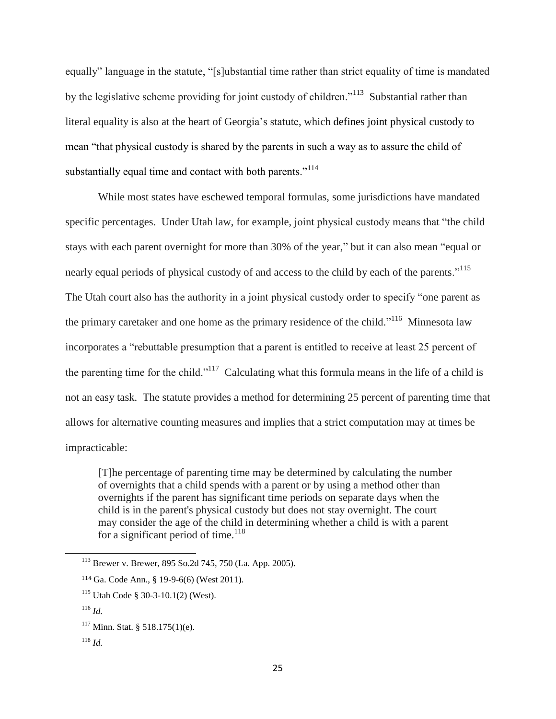equally" language in the statute, "[s]ubstantial time rather than strict equality of time is mandated by the legislative scheme providing for joint custody of children."<sup>113</sup> Substantial rather than literal equality is also at the heart of Georgia's statute, which defines joint physical custody to mean "that physical custody is shared by the parents in such a way as to assure the child of substantially equal time and contact with both parents."<sup>114</sup>

While most states have eschewed temporal formulas, some jurisdictions have mandated specific percentages. Under Utah law, for example, joint physical custody means that "the child stays with each parent overnight for more than 30% of the year," but it can also mean "equal or nearly equal periods of physical custody of and access to the child by each of the parents."<sup>115</sup> The Utah court also has the authority in a joint physical custody order to specify "one parent as the primary caretaker and one home as the primary residence of the child."<sup>116</sup> Minnesota law incorporates a "rebuttable presumption that a parent is entitled to receive at least 25 percent of the parenting time for the child."<sup>117</sup> Calculating what this formula means in the life of a child is not an easy task. The statute provides a method for determining 25 percent of parenting time that allows for alternative counting measures and implies that a strict computation may at times be impracticable:

[T]he percentage of parenting time may be determined by calculating the number of overnights that a child spends with a parent or by using a method other than overnights if the parent has significant time periods on separate days when the child is in the parent's physical custody but does not stay overnight. The court may consider the age of the child in determining whether a child is with a parent for a significant period of time.<sup>118</sup>

<sup>113</sup> Brewer v. Brewer, 895 So.2d 745, 750 (La. App. 2005).

<sup>114</sup> Ga. Code Ann., § 19-9-6(6) (West 2011).

<sup>115</sup> Utah Code § 30-3-10.1(2) (West).

<sup>116</sup> *Id.*

 $117$  Minn. Stat. § 518.175(1)(e).

<sup>118</sup> *Id.*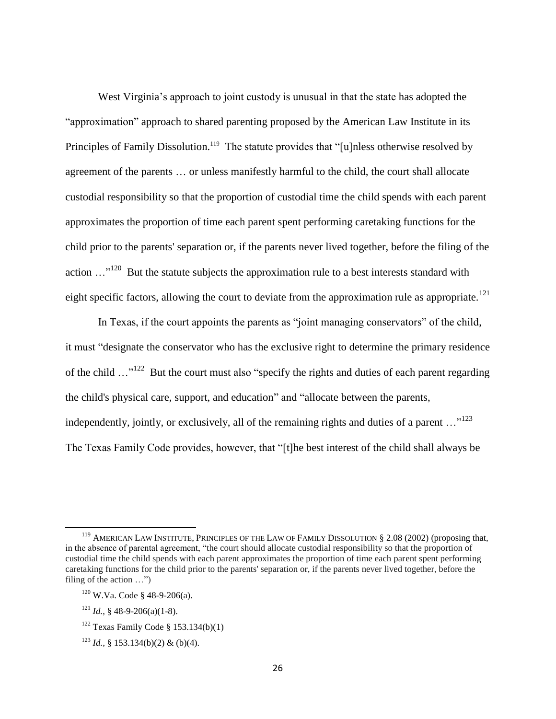West Virginia's approach to joint custody is unusual in that the state has adopted the "approximation" approach to shared parenting proposed by the American Law Institute in its Principles of Family Dissolution.<sup>119</sup> The statute provides that "[u]nless otherwise resolved by agreement of the parents … or unless manifestly harmful to the child, the court shall allocate custodial responsibility so that the proportion of custodial time the child spends with each parent approximates the proportion of time each parent spent performing caretaking functions for the child prior to the parents' separation or, if the parents never lived together, before the filing of the action  $\dots^{120}$  But the statute subjects the approximation rule to a best interests standard with eight specific factors, allowing the court to deviate from the approximation rule as appropriate.<sup>121</sup>

In Texas, if the court appoints the parents as "joint managing conservators" of the child, it must "designate the conservator who has the exclusive right to determine the primary residence of the child  $\ldots$ <sup>122</sup> But the court must also "specify the rights and duties of each parent regarding the child's physical care, support, and education" and "allocate between the parents, independently, jointly, or exclusively, all of the remaining rights and duties of a parent  $\ldots$ <sup>123</sup> The Texas Family Code provides, however, that "[t]he best interest of the child shall always be

<sup>&</sup>lt;sup>119</sup> AMERICAN LAW INSTITUTE, PRINCIPLES OF THE LAW OF FAMILY DISSOLUTION § 2.08 (2002) (proposing that, in the absence of parental agreement, "the court should allocate custodial responsibility so that the proportion of custodial time the child spends with each parent approximates the proportion of time each parent spent performing caretaking functions for the child prior to the parents' separation or, if the parents never lived together, before the filing of the action …")

<sup>120</sup> W.Va. Code § 48-9-206(a).

 $121$  *Id.*, § 48-9-206(a)(1-8).

<sup>&</sup>lt;sup>122</sup> Texas Family Code  $§$  153.134(b)(1)

<sup>123</sup> *Id.,* § 153.134(b)(2) & (b)(4).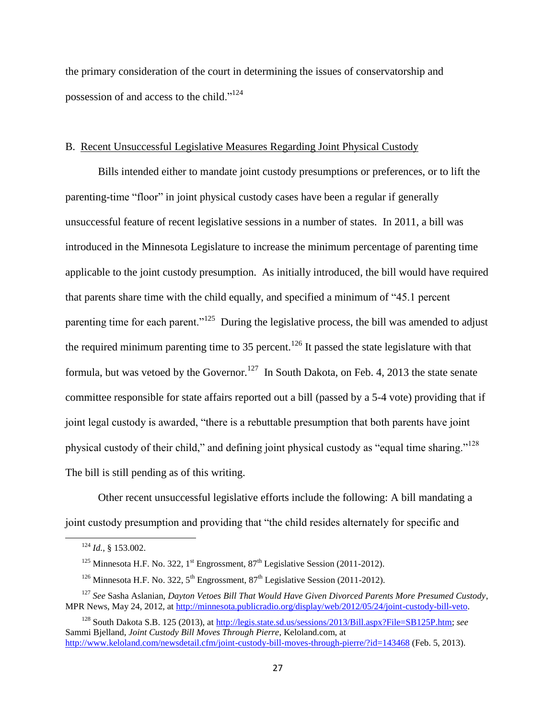the primary consideration of the court in determining the issues of conservatorship and possession of and access to the child."<sup>124</sup>

#### B. Recent Unsuccessful Legislative Measures Regarding Joint Physical Custody

Bills intended either to mandate joint custody presumptions or preferences, or to lift the parenting-time "floor" in joint physical custody cases have been a regular if generally unsuccessful feature of recent legislative sessions in a number of states. In 2011, a bill was introduced in the Minnesota Legislature to increase the minimum percentage of parenting time applicable to the joint custody presumption. As initially introduced, the bill would have required that parents share time with the child equally, and specified a minimum of "45.1 percent parenting time for each parent."<sup>125</sup> During the legislative process, the bill was amended to adjust the required minimum parenting time to 35 percent.<sup>126</sup> It passed the state legislature with that formula, but was vetoed by the Governor.<sup>127</sup> In South Dakota, on Feb. 4, 2013 the state senate committee responsible for state affairs reported out a bill (passed by a 5-4 vote) providing that if joint legal custody is awarded, "there is a rebuttable presumption that both parents have joint physical custody of their child," and defining joint physical custody as "equal time sharing."<sup>128</sup> The bill is still pending as of this writing.

Other recent unsuccessful legislative efforts include the following: A bill mandating a joint custody presumption and providing that "the child resides alternately for specific and

l

<sup>124</sup> *Id.,* § 153.002.

<sup>&</sup>lt;sup>125</sup> Minnesota H.F. No. 322, 1<sup>st</sup> Engrossment, 87<sup>th</sup> Legislative Session (2011-2012).

<sup>&</sup>lt;sup>126</sup> Minnesota H.F. No. 322,  $5<sup>th</sup>$  Engrossment,  $87<sup>th</sup>$  Legislative Session (2011-2012).

<sup>127</sup> *See* Sasha Aslanian, *Dayton Vetoes Bill That Would Have Given Divorced Parents More Presumed Custody*, MPR News, May 24, 2012, at [http://minnesota.publicradio.org/display/web/2012/05/24/joint-custody-bill-veto.](http://minnesota.publicradio.org/display/web/2012/05/24/joint-custody-bill-veto)

<sup>128</sup> South Dakota S.B. 125 (2013), at [http://legis.state.sd.us/sessions/2013/Bill.aspx?File=SB125P.htm;](http://legis.state.sd.us/sessions/2013/Bill.aspx?File=SB125P.htm) *see* Sammi Bjelland, *Joint Custody Bill Moves Through Pierre*, Keloland.com, at <http://www.keloland.com/newsdetail.cfm/joint-custody-bill-moves-through-pierre/?id=143468> (Feb. 5, 2013).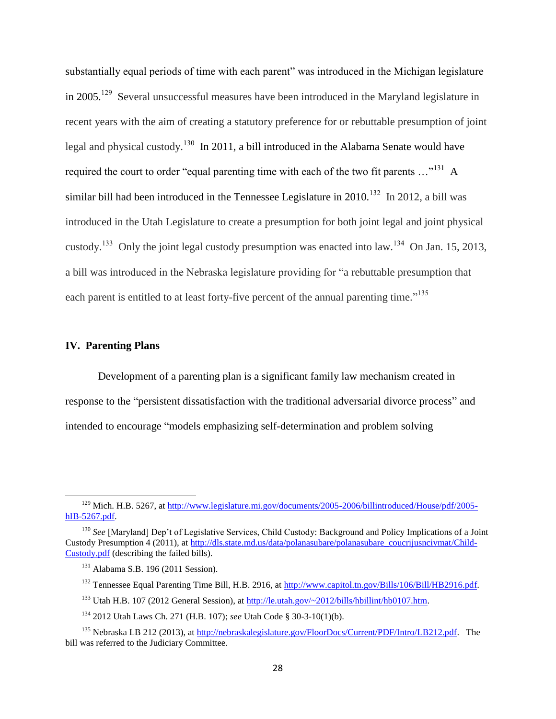substantially equal periods of time with each parent" was introduced in the Michigan legislature in 2005.<sup>129</sup> Several unsuccessful measures have been introduced in the Maryland legislature in recent years with the aim of creating a statutory preference for or rebuttable presumption of joint legal and physical custody.<sup>130</sup> In 2011, a bill introduced in the Alabama Senate would have required the court to order "equal parenting time with each of the two fit parents ..."<sup>131</sup> A similar bill had been introduced in the Tennessee Legislature in  $2010$ <sup>132</sup> In 2012, a bill was introduced in the Utah Legislature to create a presumption for both joint legal and joint physical custody.<sup>133</sup> Only the joint legal custody presumption was enacted into law.<sup>134</sup> On Jan. 15, 2013, a bill was introduced in the Nebraska legislature providing for "a rebuttable presumption that each parent is entitled to at least forty-five percent of the annual parenting time."<sup>135</sup>

#### **IV. Parenting Plans**

l

Development of a parenting plan is a significant family law mechanism created in response to the "persistent dissatisfaction with the traditional adversarial divorce process" and intended to encourage "models emphasizing self-determination and problem solving

<sup>&</sup>lt;sup>129</sup> Mich. H.B. 5267, a[t http://www.legislature.mi.gov/documents/2005-2006/billintroduced/House/pdf/2005](http://www.legislature.mi.gov/documents/2005-2006/billintroduced/House/pdf/2005-hIB-5267.pdf) [hIB-5267.pdf.](http://www.legislature.mi.gov/documents/2005-2006/billintroduced/House/pdf/2005-hIB-5267.pdf)

<sup>&</sup>lt;sup>130</sup> See [Maryland] Dep't of Legislative Services, Child Custody: Background and Policy Implications of a Joint Custody Presumption 4 (2011), at [http://dls.state.md.us/data/polanasubare/polanasubare\\_coucrijusncivmat/Child-](http://dls.state.md.us/data/polanasubare/polanasubare_coucrijusncivmat/Child-Custody.pdf)[Custody.pdf](http://dls.state.md.us/data/polanasubare/polanasubare_coucrijusncivmat/Child-Custody.pdf) (describing the failed bills).

<sup>&</sup>lt;sup>131</sup> Alabama S.B. 196 (2011 Session).

<sup>&</sup>lt;sup>132</sup> Tennessee Equal Parenting Time Bill, H.B. 2916, at [http://www.capitol.tn.gov/Bills/106/Bill/HB2916.pdf.](http://www.capitol.tn.gov/Bills/106/Bill/HB2916.pdf)

<sup>&</sup>lt;sup>133</sup> Utah H.B. 107 (2012 General Session), at [http://le.utah.gov/~2012/bills/hbillint/hb0107.htm.](http://le.utah.gov/~2012/bills/hbillint/hb0107.htm)

<sup>134</sup> 2012 Utah Laws Ch. 271 (H.B. 107); *see* Utah Code § 30-3-10(1)(b).

<sup>&</sup>lt;sup>135</sup> Nebraska LB 212 (2013), a[t http://nebraskalegislature.gov/FloorDocs/Current/PDF/Intro/LB212.pdf.](http://nebraskalegislature.gov/FloorDocs/Current/PDF/Intro/LB212.pdf) The bill was referred to the Judiciary Committee.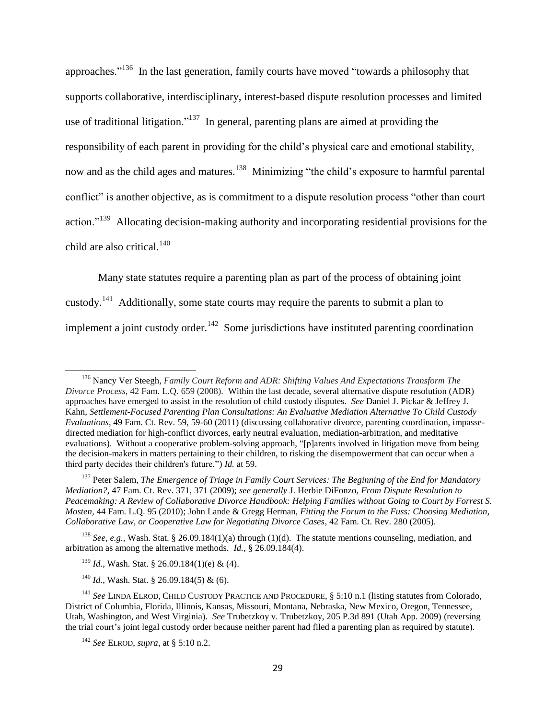approaches."<sup>136</sup> In the last generation, family courts have moved "towards a philosophy that supports collaborative, interdisciplinary, interest-based dispute resolution processes and limited use of traditional litigation."<sup>137</sup> In general, parenting plans are aimed at providing the responsibility of each parent in providing for the child's physical care and emotional stability, now and as the child ages and matures.<sup>138</sup> Minimizing "the child's exposure to harmful parental conflict" is another objective, as is commitment to a dispute resolution process "other than court action."<sup>139</sup> Allocating decision-making authority and incorporating residential provisions for the child are also critical.<sup>140</sup>

Many state statutes require a parenting plan as part of the process of obtaining joint custody.<sup>141</sup> Additionally, some state courts may require the parents to submit a plan to implement a joint custody order.<sup>142</sup> Some jurisdictions have instituted parenting coordination

<sup>138</sup> *See, e.g.,* Wash. Stat. § 26.09.184(1)(a) through (1)(d). The statute mentions counseling, mediation, and arbitration as among the alternative methods. *Id.*, § 26.09.184(4).

<sup>139</sup> *Id.*, Wash. Stat. § 26.09.184(1)(e) & (4).

<sup>140</sup> *Id.*, Wash. Stat. § 26.09.184(5) & (6).

l

<sup>136</sup> Nancy Ver Steegh, *Family Court Reform and ADR: Shifting Values And Expectations Transform The Divorce Process*, 42 Fam. L.Q. 659 (2008). Within the last decade, several alternative dispute resolution (ADR) approaches have emerged to assist in the resolution of child custody disputes. *See* Daniel J. Pickar & Jeffrey J. Kahn, *Settlement-Focused Parenting Plan Consultations: An Evaluative Mediation Alternative To Child Custody Evaluations*, 49 Fam. Ct. Rev. 59, 59-60 (2011) (discussing collaborative divorce, parenting coordination, impassedirected mediation for high-conflict divorces, early neutral evaluation, mediation-arbitration, and meditative evaluations). Without a cooperative problem-solving approach, "[p]arents involved in litigation move from being the decision-makers in matters pertaining to their children, to risking the disempowerment that can occur when a third party decides their children's future.") *Id.* at 59.

<sup>137</sup> Peter Salem, *The Emergence of Triage in Family Court Services: The Beginning of the End for Mandatory Mediation?*, 47 Fam. Ct. Rev. 371, 371 (2009); *see generally* J. Herbie DiFonzo, *From Dispute Resolution to Peacemaking: A Review of Collaborative Divorce Handbook: Helping Families without Going to Court by Forrest S. Mosten,* 44 Fam. L.Q. 95 (2010); John Lande & Gregg Herman, *Fitting the Forum to the Fuss: Choosing Mediation, Collaborative Law, or Cooperative Law for Negotiating Divorce Cases*, 42 Fam. Ct. Rev. 280 (2005).

<sup>141</sup> *See* LINDA ELROD, CHILD CUSTODY PRACTICE AND PROCEDURE, § 5:10 n.1 (listing statutes from Colorado, District of Columbia, Florida, Illinois, Kansas, Missouri, Montana, Nebraska, New Mexico, Oregon, Tennessee, Utah, Washington, and West Virginia). *See* Trubetzkoy v. Trubetzkoy, 205 P.3d 891 (Utah App. 2009) (reversing the trial court's joint legal custody order because neither parent had filed a parenting plan as required by statute).

<sup>142</sup> *See* ELROD, *supra*, at § 5:10 n.2.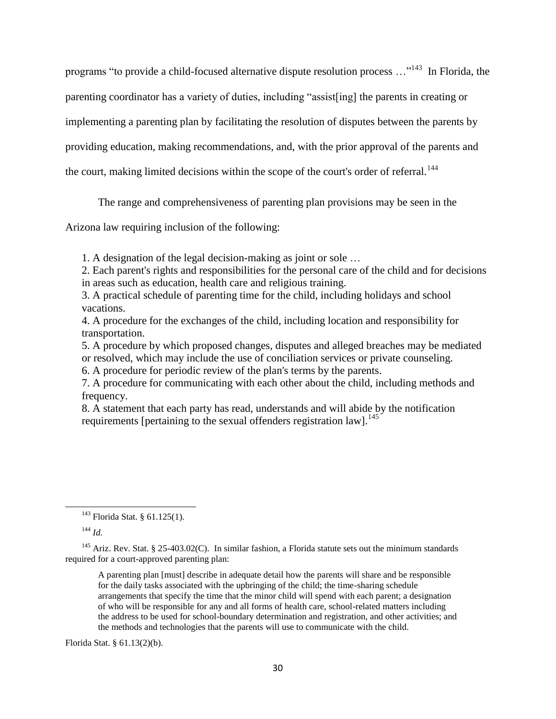programs "to provide a child-focused alternative dispute resolution process …"<sup>143</sup> In Florida, the parenting coordinator has a variety of duties, including "assist[ing] the parents in creating or implementing a parenting plan by facilitating the resolution of disputes between the parents by providing education, making recommendations, and, with the prior approval of the parents and the court, making limited decisions within the scope of the court's order of referral.<sup>144</sup>

The range and comprehensiveness of parenting plan provisions may be seen in the

Arizona law requiring inclusion of the following:

1. A designation of the legal decision-making as joint or sole …

2. Each parent's rights and responsibilities for the personal care of the child and for decisions in areas such as education, health care and religious training.

3. A practical schedule of parenting time for the child, including holidays and school vacations.

4. A procedure for the exchanges of the child, including location and responsibility for transportation.

5. A procedure by which proposed changes, disputes and alleged breaches may be mediated or resolved, which may include the use of conciliation services or private counseling.

6. A procedure for periodic review of the plan's terms by the parents.

7. A procedure for communicating with each other about the child, including methods and frequency.

8. A statement that each party has read, understands and will abide by the notification requirements [pertaining to the sexual offenders registration  $\text{law}$ ].<sup>145</sup>

l

Florida Stat. § 61.13(2)(b).

<sup>143</sup> Florida Stat. § 61.125(1).

<sup>144</sup> *Id.*

<sup>&</sup>lt;sup>145</sup> Ariz. Rev. Stat. § 25-403.02(C). In similar fashion, a Florida statute sets out the minimum standards required for a court-approved parenting plan:

A parenting plan [must] describe in adequate detail how the parents will share and be responsible for the daily tasks associated with the upbringing of the child; the time-sharing schedule arrangements that specify the time that the minor child will spend with each parent; a designation of who will be responsible for any and all forms of health care, school-related matters including the address to be used for school-boundary determination and registration, and other activities; and the methods and technologies that the parents will use to communicate with the child.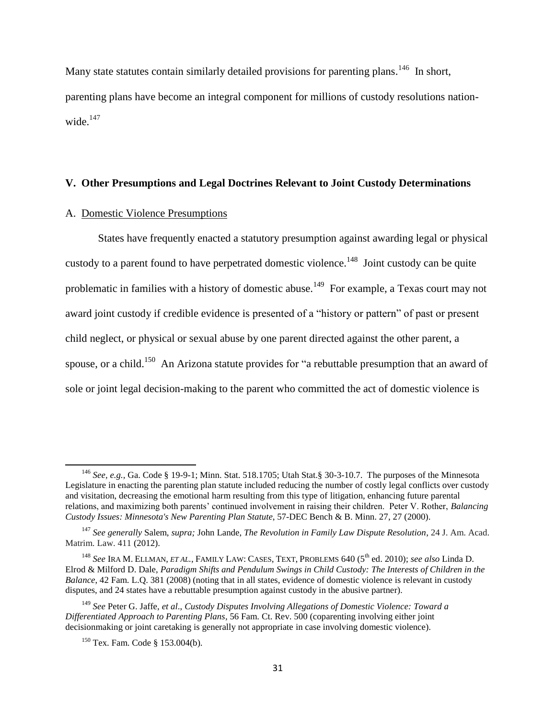Many state statutes contain similarly detailed provisions for parenting plans.<sup>146</sup> In short, parenting plans have become an integral component for millions of custody resolutions nationwide. $147$ 

#### **V. Other Presumptions and Legal Doctrines Relevant to Joint Custody Determinations**

#### A. Domestic Violence Presumptions

States have frequently enacted a statutory presumption against awarding legal or physical custody to a parent found to have perpetrated domestic violence.<sup>148</sup> Joint custody can be quite problematic in families with a history of domestic abuse.<sup>149</sup> For example, a Texas court may not award joint custody if credible evidence is presented of a "history or pattern" of past or present child neglect, or physical or sexual abuse by one parent directed against the other parent, a spouse, or a child.<sup>150</sup> An Arizona statute provides for "a rebuttable presumption that an award of sole or joint legal decision-making to the parent who committed the act of domestic violence is

<sup>146</sup> *See, e.g.,* Ga. Code § 19-9-1; Minn. Stat. 518.1705; Utah Stat.§ 30-3-10.7. The purposes of the Minnesota Legislature in enacting the parenting plan statute included reducing the number of costly legal conflicts over custody and visitation, decreasing the emotional harm resulting from this type of litigation, enhancing future parental relations, and maximizing both parents' continued involvement in raising their children. Peter V. Rother, *Balancing Custody Issues: Minnesota's New Parenting Plan Statute*, 57-DEC Bench & B. Minn. 27, 27 (2000).

<sup>147</sup> *See generally* Salem, *supra;* John Lande, *The Revolution in Family Law Dispute Resolution*, 24 J. Am. Acad. Matrim. Law. 411 (2012).

<sup>148</sup> *See* IRA M. ELLMAN, *ET AL.*, FAMILY LAW: CASES, TEXT, PROBLEMS 640 (5th ed. 2010); *see also* Linda D. Elrod & Milford D. Dale, *Paradigm Shifts and Pendulum Swings in Child Custody: The Interests of Children in the Balance*, 42 Fam. L.Q. 381 (2008) (noting that in all states, evidence of domestic violence is relevant in custody disputes, and 24 states have a rebuttable presumption against custody in the abusive partner).

<sup>149</sup> *See* Peter G. Jaffe, *et al*., *Custody Disputes Involving Allegations of Domestic Violence: Toward a Differentiated Approach to Parenting Plans*, 56 Fam. Ct. Rev. 500 (coparenting involving either joint decisionmaking or joint caretaking is generally not appropriate in case involving domestic violence).

<sup>150</sup> Tex. Fam. Code § 153.004(b).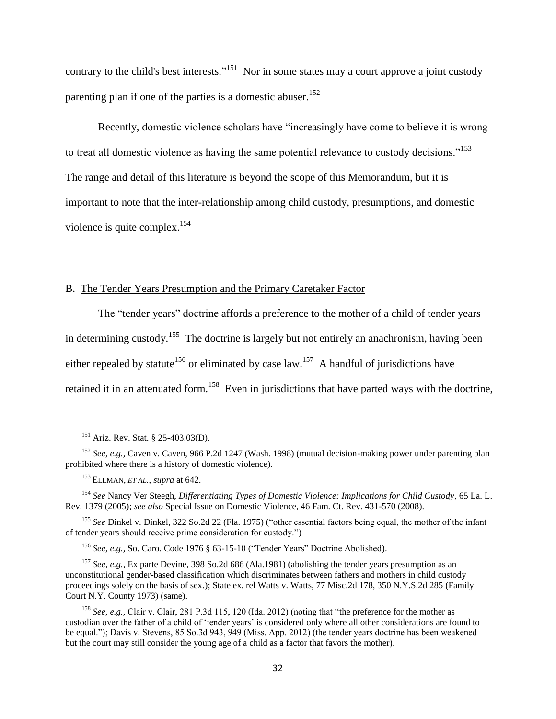contrary to the child's best interests."<sup>151</sup> Nor in some states may a court approve a joint custody parenting plan if one of the parties is a domestic abuser.<sup>152</sup>

Recently, domestic violence scholars have "increasingly have come to believe it is wrong to treat all domestic violence as having the same potential relevance to custody decisions."<sup>153</sup> The range and detail of this literature is beyond the scope of this Memorandum, but it is important to note that the inter-relationship among child custody, presumptions, and domestic violence is quite complex.<sup>154</sup>

#### B. The Tender Years Presumption and the Primary Caretaker Factor

The "tender years" doctrine affords a preference to the mother of a child of tender years in determining custody.<sup>155</sup> The doctrine is largely but not entirely an anachronism, having been either repealed by statute<sup>156</sup> or eliminated by case law.<sup>157</sup> A handful of jurisdictions have

retained it in an attenuated form.<sup>158</sup> Even in jurisdictions that have parted ways with the doctrine,

l

<sup>155</sup> *See* Dinkel v. Dinkel, 322 So.2d 22 (Fla. 1975) ("other essential factors being equal, the mother of the infant of tender years should receive prime consideration for custody.")

<sup>156</sup> *See, e.g.,* So. Caro. Code 1976 § 63-15-10 ("Tender Years" Doctrine Abolished).

<sup>157</sup> *See, e.g.,* Ex parte Devine, 398 So.2d 686 (Ala.1981) (abolishing the tender years presumption as an unconstitutional gender-based classification which discriminates between fathers and mothers in child custody proceedings solely on the basis of sex.); State ex. rel Watts v. Watts, 77 Misc.2d 178, 350 N.Y.S.2d 285 (Family Court N.Y. County 1973) (same).

<sup>151</sup> Ariz. Rev. Stat. § 25-403.03(D).

<sup>152</sup> *See, e.g.,* Caven v. Caven, 966 P.2d 1247 (Wash. 1998) (mutual decision-making power under parenting plan prohibited where there is a history of domestic violence).

<sup>153</sup> ELLMAN, *ET AL.*, *supra* at 642.

<sup>154</sup> *See* Nancy Ver Steegh, *Differentiating Types of Domestic Violence: Implications for Child Custody*, 65 La. L. Rev. 1379 (2005); *see also* Special Issue on Domestic Violence, 46 Fam. Ct. Rev. 431-570 (2008).

<sup>158</sup> *See, e.g.,* Clair v. Clair, 281 P.3d 115, 120 (Ida. 2012) (noting that "the preference for the mother as custodian over the father of a child of 'tender years' is considered only where all other considerations are found to be equal."); Davis v. Stevens, 85 So.3d 943, 949 (Miss. App. 2012) (the tender years doctrine has been weakened but the court may still consider the young age of a child as a factor that favors the mother).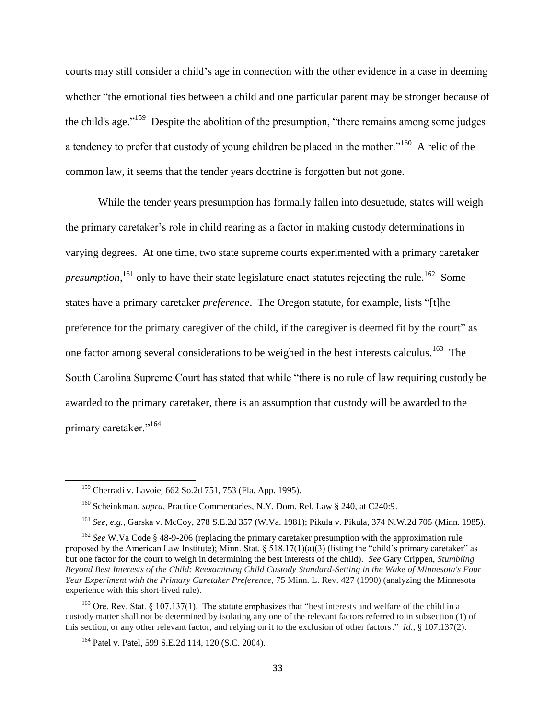courts may still consider a child's age in connection with the other evidence in a case in deeming whether "the emotional ties between a child and one particular parent may be stronger because of the child's age."<sup>159</sup> Despite the abolition of the presumption, "there remains among some judges a tendency to prefer that custody of young children be placed in the mother."<sup>160</sup> A relic of the common law, it seems that the tender years doctrine is forgotten but not gone.

While the tender years presumption has formally fallen into desuetude, states will weigh the primary caretaker's role in child rearing as a factor in making custody determinations in varying degrees. At one time, two state supreme courts experimented with a primary caretaker *presumption*, <sup>161</sup> only to have their state legislature enact statutes rejecting the rule.<sup>162</sup> Some states have a primary caretaker *preference*. The Oregon statute, for example, lists "[t]he preference for the primary caregiver of the child, if the caregiver is deemed fit by the court" as one factor among several considerations to be weighed in the best interests calculus.<sup>163</sup> The South Carolina Supreme Court has stated that while "there is no rule of law requiring custody be awarded to the primary caretaker, there is an assumption that custody will be awarded to the primary caretaker."<sup>164</sup>

<sup>159</sup> Cherradi v. Lavoie, 662 So.2d 751, 753 (Fla. App. 1995).

<sup>160</sup> Scheinkman, *supra*, Practice Commentaries, N.Y. Dom. Rel. Law § 240, at C240:9.

<sup>161</sup> *See, e.g.,* Garska v. McCoy, 278 S.E.2d 357 (W.Va. 1981); Pikula v. Pikula, 374 N.W.2d 705 (Minn. 1985).

<sup>&</sup>lt;sup>162</sup> See W.Va Code § 48-9-206 (replacing the primary caretaker presumption with the approximation rule proposed by the American Law Institute); Minn. Stat.  $\S$  518.17(1)(a)(3) (listing the "child's primary caretaker" as but one factor for the court to weigh in determining the best interests of the child). *See* Gary Crippen, *Stumbling Beyond Best Interests of the Child: Reexamining Child Custody Standard-Setting in the Wake of Minnesota's Four Year Experiment with the Primary Caretaker Preference*, 75 Minn. L. Rev. 427 (1990) (analyzing the Minnesota experience with this short-lived rule).

<sup>&</sup>lt;sup>163</sup> Ore. Rev. Stat. § 107.137(1). The statute emphasizes that "best interests and welfare of the child in a custody matter shall not be determined by isolating any one of the relevant factors referred to in subsection (1) of this section, or any other relevant factor, and relying on it to the exclusion of other factors." *Id.*, § 107.137(2).

<sup>&</sup>lt;sup>164</sup> Patel v. Patel, 599 S.E.2d 114, 120 (S.C. 2004).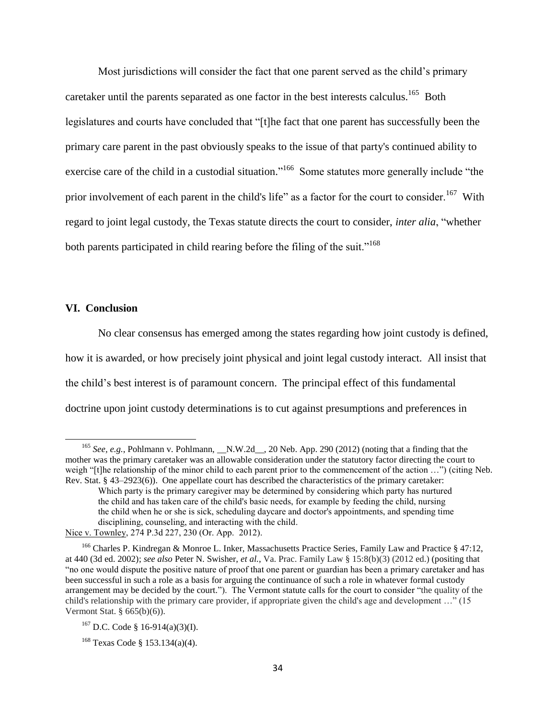Most jurisdictions will consider the fact that one parent served as the child's primary caretaker until the parents separated as one factor in the best interests calculus.<sup>165</sup> Both legislatures and courts have concluded that "[t]he fact that one parent has successfully been the primary care parent in the past obviously speaks to the issue of that party's continued ability to exercise care of the child in a custodial situation."<sup>166</sup> Some statutes more generally include "the prior involvement of each parent in the child's life" as a factor for the court to consider.<sup>167</sup> With regard to joint legal custody, the Texas statute directs the court to consider, *inter alia*, "whether both parents participated in child rearing before the filing of the suit."<sup>168</sup>

#### **VI. Conclusion**

 $\overline{a}$ 

No clear consensus has emerged among the states regarding how joint custody is defined, how it is awarded, or how precisely joint physical and joint legal custody interact. All insist that the child's best interest is of paramount concern. The principal effect of this fundamental doctrine upon joint custody determinations is to cut against presumptions and preferences in

<sup>&</sup>lt;sup>165</sup> *See, e.g.*, Pohlmann v. Pohlmann, \_\_N.W.2d\_\_, 20 Neb. App. 290 (2012) (noting that a finding that the mother was the primary caretaker was an allowable consideration under the statutory factor directing the court to weigh "[t]he relationship of the minor child to each parent prior to the commencement of the action ...") (citing Neb. Rev. Stat. § 43–2923(6)). One appellate court has described the characteristics of the primary caretaker:

Which party is the primary caregiver may be determined by considering which party has nurtured the child and has taken care of the child's basic needs, for example by feeding the child, nursing the child when he or she is sick, scheduling daycare and doctor's appointments, and spending time disciplining, counseling, and interacting with the child.

Nice v. Townley, 274 P.3d 227, 230 (Or. App. 2012).

<sup>&</sup>lt;sup>166</sup> Charles P. Kindregan & Monroe L. Inker, Massachusetts Practice Series, Family Law and Practice § 47:12, at 440 (3d ed. 2002); *see also* Peter N. Swisher, *et al.*, Va. Prac. Family Law § 15:8(b)(3) (2012 ed.) (positing that "no one would dispute the positive nature of proof that one parent or guardian has been a primary caretaker and has been successful in such a role as a basis for arguing the continuance of such a role in whatever formal custody arrangement may be decided by the court."). The Vermont statute calls for the court to consider "the quality of the child's relationship with the primary care provider, if appropriate given the child's age and development …" (15 Vermont Stat. § 665(b)(6)).

 $167$  D.C. Code § 16-914(a)(3)(I).

<sup>168</sup> Texas Code § 153.134(a)(4).